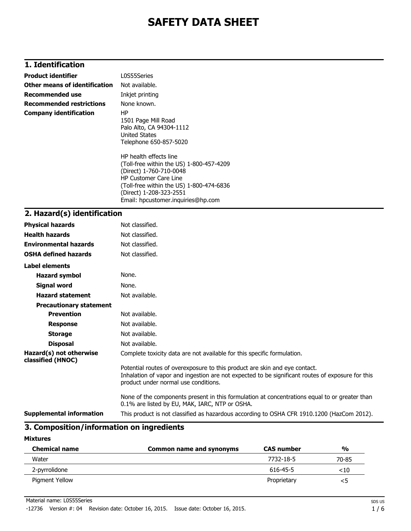### **1. Identification**

| <b>Product identifier</b>       | L0S55Series                                                                                                                                                                                                                                |  |  |  |
|---------------------------------|--------------------------------------------------------------------------------------------------------------------------------------------------------------------------------------------------------------------------------------------|--|--|--|
| Other means of identification   | Not available.                                                                                                                                                                                                                             |  |  |  |
| <b>Recommended use</b>          | Inkjet printing                                                                                                                                                                                                                            |  |  |  |
| <b>Recommended restrictions</b> | None known.                                                                                                                                                                                                                                |  |  |  |
| <b>Company identification</b>   | HP.<br>1501 Page Mill Road<br>Palo Alto, CA 94304-1112<br>United States<br>Telephone 650-857-5020                                                                                                                                          |  |  |  |
|                                 | HP health effects line<br>(Toll-free within the US) 1-800-457-4209<br>(Direct) 1-760-710-0048<br><b>HP Customer Care Line</b><br>(Toll-free within the US) 1-800-474-6836<br>(Direct) 1-208-323-2551<br>Email: hpcustomer.inquiries@hp.com |  |  |  |
| 2. Hazard(s) identification     |                                                                                                                                                                                                                                            |  |  |  |

### **Physical hazards** Not classified. **Health hazards** Not classified. **Environmental hazards** Not classified. **OSHA defined hazards** Not classified. **Label elements Hazard symbol** None. **Signal word** None. **Hazard statement** Not available. **Precautionary statement Prevention** Not available. **Response** Not available. **Storage** Not available. **Disposal** Not available. **Hazard(s) not otherwise classified (HNOC)** Complete toxicity data are not available for this specific formulation. Potential routes of overexposure to this product are skin and eye contact. Inhalation of vapor and ingestion are not expected to be significant routes of exposure for this product under normal use conditions. None of the components present in this formulation at concentrations equal to or greater than 0.1% are listed by EU, MAK, IARC, NTP or OSHA. **Supplemental information** This product is not classified as hazardous according to OSHA CFR 1910.1200 (HazCom 2012).

#### **3. Composition/information on ingredients**

#### **Mixtures**

| <b>Chemical name</b> | Common name and synonyms | <b>CAS number</b> | $\frac{0}{0}$ |
|----------------------|--------------------------|-------------------|---------------|
| Water                |                          | 7732-18-5         | 70-85         |
| 2-pyrrolidone        |                          | 616-45-5          | $<$ 10        |
| Pigment Yellow       |                          | Proprietary       | <5            |

Material name: L0S55Series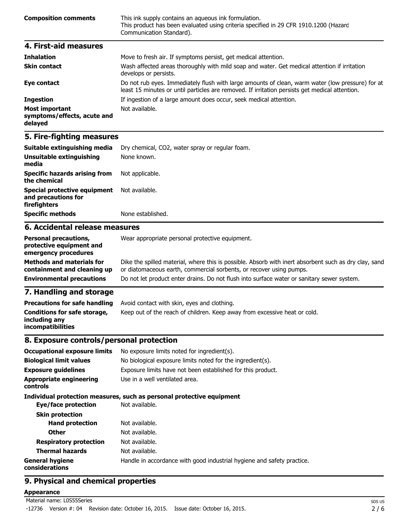| <b>Composition comments</b> | This ink supply contains an aqueous ink formulation.<br>This product has been evaluated using criteria specified in 29 CFR 1910.1200 (Hazard<br>Communication Standard). |
|-----------------------------|--------------------------------------------------------------------------------------------------------------------------------------------------------------------------|
| 4. First-aid measures       |                                                                                                                                                                          |
| <b>Teleslation</b>          | Mouse to froch air. If symptoms norsist, not modical attention                                                                                                           |

| THIRIGUVII                                                      | <u>riove</u> to fresh all. If symptoms persist, get medical attention.                                                                                                                             |
|-----------------------------------------------------------------|----------------------------------------------------------------------------------------------------------------------------------------------------------------------------------------------------|
| <b>Skin contact</b>                                             | Wash affected areas thoroughly with mild soap and water. Get medical attention if irritation<br>develops or persists.                                                                              |
| Eye contact                                                     | Do not rub eyes. Immediately flush with large amounts of clean, warm water (low pressure) for at<br>least 15 minutes or until particles are removed. If irritation persists get medical attention. |
| <b>Ingestion</b>                                                | If ingestion of a large amount does occur, seek medical attention.                                                                                                                                 |
| <b>Most important</b><br>symptoms/effects, acute and<br>delayed | Not available.                                                                                                                                                                                     |

| Suitable extinguishing media                                               | Dry chemical, CO2, water spray or regular foam. |  |  |
|----------------------------------------------------------------------------|-------------------------------------------------|--|--|
| Unsuitable extinguishing<br>media                                          | None known.                                     |  |  |
| <b>Specific hazards arising from</b><br>the chemical                       | Not applicable.                                 |  |  |
| <b>Special protective equipment</b><br>and precautions for<br>firefighters | Not available.                                  |  |  |
| <b>Specific methods</b>                                                    | None established.                               |  |  |
| 6. Accidental release measures                                             |                                                 |  |  |
|                                                                            |                                                 |  |  |

#### **Personal precautions, protective equipment and emergency procedures** Wear appropriate personal protective equipment. **Methods and materials for containment and cleaning up** Dike the spilled material, where this is possible. Absorb with inert absorbent such as dry clay, sand or diatomaceous earth, commercial sorbents, or recover using pumps. **Environmental precautions** Do not let product enter drains. Do not flush into surface water or sanitary sewer system.

### **7. Handling and storage**

| <b>Precautions for safe handling</b>                                      | Avoid contact with skin, eyes and clothing.                               |
|---------------------------------------------------------------------------|---------------------------------------------------------------------------|
| Conditions for safe storage,<br>including any<br><b>incompatibilities</b> | Keep out of the reach of children. Keep away from excessive heat or cold. |

### **8. Exposure controls/personal protection**

| <b>Occupational exposure limits</b>        | No exposure limits noted for ingredient(s).                            |  |  |
|--------------------------------------------|------------------------------------------------------------------------|--|--|
| <b>Biological limit values</b>             | No biological exposure limits noted for the ingredient(s).             |  |  |
| <b>Exposure guidelines</b>                 | Exposure limits have not been established for this product.            |  |  |
| <b>Appropriate engineering</b><br>controls | Use in a well ventilated area.                                         |  |  |
|                                            | Individual protection measures, such as personal protective equipment  |  |  |
| Eye/face protection                        | Not available.                                                         |  |  |
| <b>Skin protection</b>                     |                                                                        |  |  |
| <b>Hand protection</b>                     | Not available.                                                         |  |  |
| <b>Other</b>                               | Not available.                                                         |  |  |
| <b>Respiratory protection</b>              | Not available.                                                         |  |  |
| <b>Thermal hazards</b>                     | Not available.                                                         |  |  |
| <b>General hygiene</b><br>considerations   | Handle in accordance with good industrial hygiene and safety practice. |  |  |

### **9. Physical and chemical properties**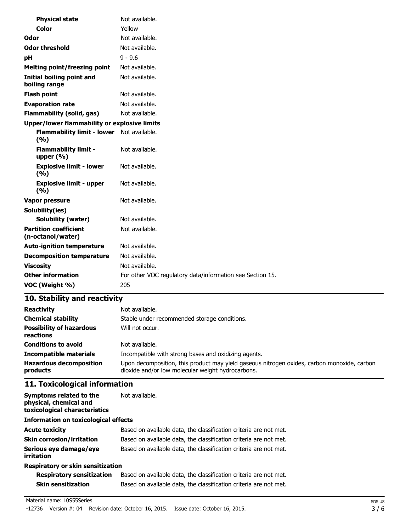| <b>Color</b><br>Yellow<br>Not available.<br>Odor<br><b>Odor threshold</b><br>Not available.<br>$9 - 9.6$<br>pH<br>Not available.<br><b>Melting point/freezing point</b><br><b>Initial boiling point and</b><br>Not available.<br>boiling range<br><b>Flash point</b><br>Not available.<br><b>Evaporation rate</b><br>Not available.<br><b>Flammability (solid, gas)</b><br>Not available.<br><b>Upper/lower flammability or explosive limits</b><br>Flammability limit - lower Not available.<br>(%)<br><b>Flammability limit -</b><br>Not available.<br>upper $(\% )$<br><b>Explosive limit - lower</b><br>Not available.<br>(9/6)<br><b>Explosive limit - upper</b><br>Not available.<br>(9/6)<br>Not available.<br>Vapor pressure |
|--------------------------------------------------------------------------------------------------------------------------------------------------------------------------------------------------------------------------------------------------------------------------------------------------------------------------------------------------------------------------------------------------------------------------------------------------------------------------------------------------------------------------------------------------------------------------------------------------------------------------------------------------------------------------------------------------------------------------------------|
|                                                                                                                                                                                                                                                                                                                                                                                                                                                                                                                                                                                                                                                                                                                                      |
|                                                                                                                                                                                                                                                                                                                                                                                                                                                                                                                                                                                                                                                                                                                                      |
|                                                                                                                                                                                                                                                                                                                                                                                                                                                                                                                                                                                                                                                                                                                                      |
|                                                                                                                                                                                                                                                                                                                                                                                                                                                                                                                                                                                                                                                                                                                                      |
|                                                                                                                                                                                                                                                                                                                                                                                                                                                                                                                                                                                                                                                                                                                                      |
|                                                                                                                                                                                                                                                                                                                                                                                                                                                                                                                                                                                                                                                                                                                                      |
|                                                                                                                                                                                                                                                                                                                                                                                                                                                                                                                                                                                                                                                                                                                                      |
|                                                                                                                                                                                                                                                                                                                                                                                                                                                                                                                                                                                                                                                                                                                                      |
|                                                                                                                                                                                                                                                                                                                                                                                                                                                                                                                                                                                                                                                                                                                                      |
|                                                                                                                                                                                                                                                                                                                                                                                                                                                                                                                                                                                                                                                                                                                                      |
|                                                                                                                                                                                                                                                                                                                                                                                                                                                                                                                                                                                                                                                                                                                                      |
|                                                                                                                                                                                                                                                                                                                                                                                                                                                                                                                                                                                                                                                                                                                                      |
|                                                                                                                                                                                                                                                                                                                                                                                                                                                                                                                                                                                                                                                                                                                                      |
|                                                                                                                                                                                                                                                                                                                                                                                                                                                                                                                                                                                                                                                                                                                                      |
|                                                                                                                                                                                                                                                                                                                                                                                                                                                                                                                                                                                                                                                                                                                                      |
| Solubility(ies)                                                                                                                                                                                                                                                                                                                                                                                                                                                                                                                                                                                                                                                                                                                      |
| <b>Solubility (water)</b><br>Not available.                                                                                                                                                                                                                                                                                                                                                                                                                                                                                                                                                                                                                                                                                          |
| <b>Partition coefficient</b><br>Not available.<br>(n-octanol/water)                                                                                                                                                                                                                                                                                                                                                                                                                                                                                                                                                                                                                                                                  |
| Not available.<br><b>Auto-ignition temperature</b>                                                                                                                                                                                                                                                                                                                                                                                                                                                                                                                                                                                                                                                                                   |
| Not available.<br><b>Decomposition temperature</b>                                                                                                                                                                                                                                                                                                                                                                                                                                                                                                                                                                                                                                                                                   |
| <b>Viscosity</b><br>Not available.                                                                                                                                                                                                                                                                                                                                                                                                                                                                                                                                                                                                                                                                                                   |
| <b>Other information</b><br>For other VOC regulatory data/information see Section 15.                                                                                                                                                                                                                                                                                                                                                                                                                                                                                                                                                                                                                                                |
| VOC (Weight %)<br>205                                                                                                                                                                                                                                                                                                                                                                                                                                                                                                                                                                                                                                                                                                                |

| <b>Reactivity</b>                            | Not available.                                                                                                                                   |  |
|----------------------------------------------|--------------------------------------------------------------------------------------------------------------------------------------------------|--|
| <b>Chemical stability</b>                    | Stable under recommended storage conditions.                                                                                                     |  |
| <b>Possibility of hazardous</b><br>reactions | Will not occur.                                                                                                                                  |  |
| <b>Conditions to avoid</b>                   | Not available.                                                                                                                                   |  |
| <b>Incompatible materials</b>                | Incompatible with strong bases and oxidizing agents.                                                                                             |  |
| <b>Hazardous decomposition</b><br>products   | Upon decomposition, this product may yield gaseous nitrogen oxides, carbon monoxide, carbon<br>dioxide and/or low molecular weight hydrocarbons. |  |

# **11. Toxicological information**

| Symptoms related to the<br>physical, chemical and<br>toxicological characteristics | Not available.                                                    |  |
|------------------------------------------------------------------------------------|-------------------------------------------------------------------|--|
| <b>Information on toxicological effects</b>                                        |                                                                   |  |
| <b>Acute toxicity</b>                                                              | Based on available data, the classification criteria are not met. |  |
| <b>Skin corrosion/irritation</b>                                                   | Based on available data, the classification criteria are not met. |  |
| Serious eye damage/eye<br>irritation                                               | Based on available data, the classification criteria are not met. |  |
| <b>Respiratory or skin sensitization</b>                                           |                                                                   |  |

| <b>Respiratory sensitization</b> | Based on available data, the classification criteria are not met. |
|----------------------------------|-------------------------------------------------------------------|
| <b>Skin sensitization</b>        | Based on available data, the classification criteria are not met. |

#### Material name: L0S55Series

-12736 Version #: 04 Revision date: October 16, 2015. Issue date: October 16, 2015.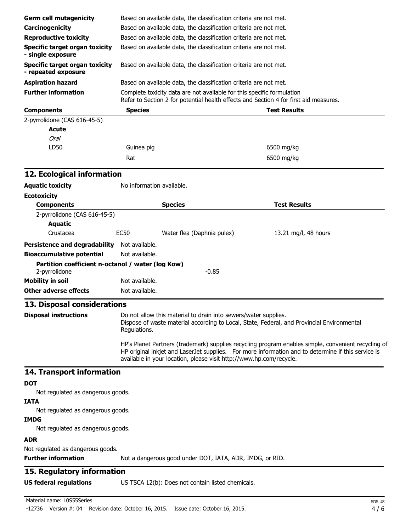| <b>Germ cell mutagenicity</b>                                      |                                                                                                                                                                 | Based on available data, the classification criteria are not met.   |                                                                                                                                                                                                           |  |  |
|--------------------------------------------------------------------|-----------------------------------------------------------------------------------------------------------------------------------------------------------------|---------------------------------------------------------------------|-----------------------------------------------------------------------------------------------------------------------------------------------------------------------------------------------------------|--|--|
| Carcinogenicity                                                    |                                                                                                                                                                 | Based on available data, the classification criteria are not met.   |                                                                                                                                                                                                           |  |  |
| <b>Reproductive toxicity</b>                                       | Based on available data, the classification criteria are not met.                                                                                               |                                                                     |                                                                                                                                                                                                           |  |  |
| <b>Specific target organ toxicity</b>                              |                                                                                                                                                                 | Based on available data, the classification criteria are not met.   |                                                                                                                                                                                                           |  |  |
| - single exposure<br><b>Specific target organ toxicity</b>         |                                                                                                                                                                 | Based on available data, the classification criteria are not met.   |                                                                                                                                                                                                           |  |  |
| - repeated exposure                                                |                                                                                                                                                                 |                                                                     |                                                                                                                                                                                                           |  |  |
| <b>Aspiration hazard</b>                                           |                                                                                                                                                                 | Based on available data, the classification criteria are not met.   |                                                                                                                                                                                                           |  |  |
| <b>Further information</b>                                         | Complete toxicity data are not available for this specific formulation<br>Refer to Section 2 for potential health effects and Section 4 for first aid measures. |                                                                     |                                                                                                                                                                                                           |  |  |
| <b>Components</b>                                                  | <b>Species</b>                                                                                                                                                  |                                                                     | <b>Test Results</b>                                                                                                                                                                                       |  |  |
| 2-pyrrolidone (CAS 616-45-5)                                       |                                                                                                                                                                 |                                                                     |                                                                                                                                                                                                           |  |  |
| <b>Acute</b>                                                       |                                                                                                                                                                 |                                                                     |                                                                                                                                                                                                           |  |  |
| <b>Oral</b>                                                        |                                                                                                                                                                 |                                                                     |                                                                                                                                                                                                           |  |  |
| LD50                                                               | Guinea pig                                                                                                                                                      |                                                                     | 6500 mg/kg                                                                                                                                                                                                |  |  |
|                                                                    | Rat                                                                                                                                                             |                                                                     | 6500 mg/kg                                                                                                                                                                                                |  |  |
| 12. Ecological information                                         |                                                                                                                                                                 |                                                                     |                                                                                                                                                                                                           |  |  |
| <b>Aquatic toxicity</b>                                            | No information available.                                                                                                                                       |                                                                     |                                                                                                                                                                                                           |  |  |
| <b>Ecotoxicity</b>                                                 |                                                                                                                                                                 |                                                                     |                                                                                                                                                                                                           |  |  |
| <b>Components</b>                                                  |                                                                                                                                                                 | <b>Species</b>                                                      | <b>Test Results</b>                                                                                                                                                                                       |  |  |
| 2-pyrrolidone (CAS 616-45-5)                                       |                                                                                                                                                                 |                                                                     |                                                                                                                                                                                                           |  |  |
| <b>Aquatic</b>                                                     |                                                                                                                                                                 |                                                                     |                                                                                                                                                                                                           |  |  |
| Crustacea                                                          | <b>EC50</b>                                                                                                                                                     | Water flea (Daphnia pulex)                                          | 13.21 mg/l, 48 hours                                                                                                                                                                                      |  |  |
| Persistence and degradability Not available.                       |                                                                                                                                                                 |                                                                     |                                                                                                                                                                                                           |  |  |
| <b>Bioaccumulative potential</b>                                   | Not available.                                                                                                                                                  |                                                                     |                                                                                                                                                                                                           |  |  |
| Partition coefficient n-octanol / water (log Kow)<br>2-pyrrolidone |                                                                                                                                                                 | $-0.85$                                                             |                                                                                                                                                                                                           |  |  |
| <b>Mobility in soil</b>                                            | Not available.                                                                                                                                                  |                                                                     |                                                                                                                                                                                                           |  |  |
| <b>Other adverse effects</b>                                       | Not available.                                                                                                                                                  |                                                                     |                                                                                                                                                                                                           |  |  |
| 13. Disposal considerations                                        |                                                                                                                                                                 |                                                                     |                                                                                                                                                                                                           |  |  |
| <b>Disposal instructions</b>                                       | Regulations.                                                                                                                                                    | Do not allow this material to drain into sewers/water supplies.     | Dispose of waste material according to Local, State, Federal, and Provincial Environmental                                                                                                                |  |  |
|                                                                    |                                                                                                                                                                 | available in your location, please visit http://www.hp.com/recycle. | HP's Planet Partners (trademark) supplies recycling program enables simple, convenient recycling of<br>HP original inkjet and LaserJet supplies. For more information and to determine if this service is |  |  |
| 14. Transport information                                          |                                                                                                                                                                 |                                                                     |                                                                                                                                                                                                           |  |  |
| <b>DOT</b>                                                         |                                                                                                                                                                 |                                                                     |                                                                                                                                                                                                           |  |  |
| Not regulated as dangerous goods.                                  |                                                                                                                                                                 |                                                                     |                                                                                                                                                                                                           |  |  |
| <b>IATA</b><br>Not regulated as dangerous goods.                   |                                                                                                                                                                 |                                                                     |                                                                                                                                                                                                           |  |  |
| <b>IMDG</b>                                                        |                                                                                                                                                                 |                                                                     |                                                                                                                                                                                                           |  |  |
| Not regulated as dangerous goods.<br><b>ADR</b>                    |                                                                                                                                                                 |                                                                     |                                                                                                                                                                                                           |  |  |
| Not regulated as dangerous goods.                                  |                                                                                                                                                                 |                                                                     |                                                                                                                                                                                                           |  |  |
| <b>Further information</b>                                         |                                                                                                                                                                 | Not a dangerous good under DOT, IATA, ADR, IMDG, or RID.            |                                                                                                                                                                                                           |  |  |
| 15. Regulatory information                                         |                                                                                                                                                                 |                                                                     |                                                                                                                                                                                                           |  |  |
| <b>US federal regulations</b>                                      |                                                                                                                                                                 | US TSCA 12(b): Does not contain listed chemicals.                   |                                                                                                                                                                                                           |  |  |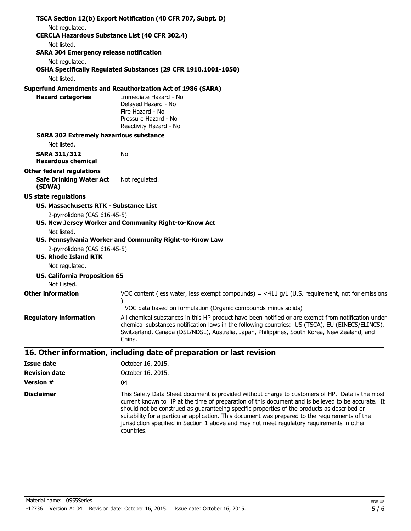|                                                                         | TSCA Section 12(b) Export Notification (40 CFR 707, Subpt. D)                                                                                                                                                                                                                                                     |
|-------------------------------------------------------------------------|-------------------------------------------------------------------------------------------------------------------------------------------------------------------------------------------------------------------------------------------------------------------------------------------------------------------|
| Not regulated.<br><b>CERCLA Hazardous Substance List (40 CFR 302.4)</b> |                                                                                                                                                                                                                                                                                                                   |
| Not listed.                                                             |                                                                                                                                                                                                                                                                                                                   |
| <b>SARA 304 Emergency release notification</b>                          |                                                                                                                                                                                                                                                                                                                   |
| Not regulated.                                                          |                                                                                                                                                                                                                                                                                                                   |
|                                                                         | OSHA Specifically Regulated Substances (29 CFR 1910.1001-1050)                                                                                                                                                                                                                                                    |
| Not listed.                                                             |                                                                                                                                                                                                                                                                                                                   |
|                                                                         | <b>Superfund Amendments and Reauthorization Act of 1986 (SARA)</b>                                                                                                                                                                                                                                                |
| <b>Hazard categories</b>                                                | Immediate Hazard - No<br>Delayed Hazard - No<br>Fire Hazard - No<br>Pressure Hazard - No<br>Reactivity Hazard - No                                                                                                                                                                                                |
| <b>SARA 302 Extremely hazardous substance</b>                           |                                                                                                                                                                                                                                                                                                                   |
| Not listed.                                                             |                                                                                                                                                                                                                                                                                                                   |
| <b>SARA 311/312</b><br><b>Hazardous chemical</b>                        | No                                                                                                                                                                                                                                                                                                                |
| <b>Other federal regulations</b>                                        |                                                                                                                                                                                                                                                                                                                   |
| <b>Safe Drinking Water Act</b><br>(SDWA)                                | Not regulated.                                                                                                                                                                                                                                                                                                    |
| <b>US state regulations</b>                                             |                                                                                                                                                                                                                                                                                                                   |
| US. Massachusetts RTK - Substance List                                  |                                                                                                                                                                                                                                                                                                                   |
| 2-pyrrolidone (CAS 616-45-5)                                            |                                                                                                                                                                                                                                                                                                                   |
|                                                                         | US. New Jersey Worker and Community Right-to-Know Act                                                                                                                                                                                                                                                             |
| Not listed.                                                             |                                                                                                                                                                                                                                                                                                                   |
| 2-pyrrolidone (CAS 616-45-5)                                            | US. Pennsylvania Worker and Community Right-to-Know Law                                                                                                                                                                                                                                                           |
| <b>US. Rhode Island RTK</b>                                             |                                                                                                                                                                                                                                                                                                                   |
| Not regulated.                                                          |                                                                                                                                                                                                                                                                                                                   |
| <b>US. California Proposition 65</b>                                    |                                                                                                                                                                                                                                                                                                                   |
| Not Listed.                                                             |                                                                                                                                                                                                                                                                                                                   |
| <b>Other information</b>                                                | VOC content (less water, less exempt compounds) = $\lt 411$ g/L (U.S. requirement, not for emissions                                                                                                                                                                                                              |
|                                                                         | VOC data based on formulation (Organic compounds minus solids)                                                                                                                                                                                                                                                    |
| <b>Regulatory information</b>                                           | All chemical substances in this HP product have been notified or are exempt from notification under<br>chemical substances notification laws in the following countries: US (TSCA), EU (EINECS/ELINCS),<br>Switzerland, Canada (DSL/NDSL), Australia, Japan, Philippines, South Korea, New Zealand, and<br>China. |
|                                                                         | 16. Other information, including date of preparation or last revision                                                                                                                                                                                                                                             |
| <b>Issue date</b>                                                       | October 16, 2015.                                                                                                                                                                                                                                                                                                 |
| <b>Revision date</b>                                                    | October 16, 2015.                                                                                                                                                                                                                                                                                                 |
| <b>Version #</b>                                                        | 04                                                                                                                                                                                                                                                                                                                |

**Disclaimer** This Safety Data Sheet document is provided without charge to customers of HP. Data is the most current known to HP at the time of preparation of this document and is believed to be accurate. It should not be construed as guaranteeing specific properties of the products as described or suitability for a particular application. This document was prepared to the requirements of the jurisdiction specified in Section 1 above and may not meet regulatory requirements in other countries.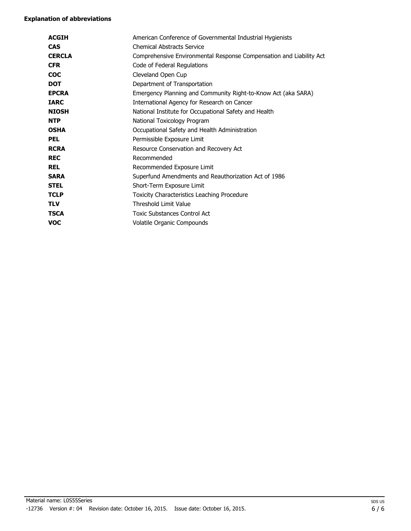| <b>ACGIH</b>  | American Conference of Governmental Industrial Hygienists           |
|---------------|---------------------------------------------------------------------|
| <b>CAS</b>    | <b>Chemical Abstracts Service</b>                                   |
| <b>CERCLA</b> | Comprehensive Environmental Response Compensation and Liability Act |
| <b>CFR</b>    | Code of Federal Regulations                                         |
| <b>COC</b>    | Cleveland Open Cup                                                  |
| <b>DOT</b>    | Department of Transportation                                        |
| <b>EPCRA</b>  | Emergency Planning and Community Right-to-Know Act (aka SARA)       |
| <b>IARC</b>   | International Agency for Research on Cancer                         |
| <b>NIOSH</b>  | National Institute for Occupational Safety and Health               |
| <b>NTP</b>    | National Toxicology Program                                         |
| <b>OSHA</b>   | Occupational Safety and Health Administration                       |
| <b>PEL</b>    | Permissible Exposure Limit                                          |
| <b>RCRA</b>   | Resource Conservation and Recovery Act                              |
| <b>REC</b>    | Recommended                                                         |
| <b>REL</b>    | Recommended Exposure Limit                                          |
| <b>SARA</b>   | Superfund Amendments and Reauthorization Act of 1986                |
| <b>STEL</b>   | Short-Term Exposure Limit                                           |
| <b>TCLP</b>   | Toxicity Characteristics Leaching Procedure                         |
| <b>TLV</b>    | <b>Threshold Limit Value</b>                                        |
| <b>TSCA</b>   | <b>Toxic Substances Control Act</b>                                 |
| voc           | Volatile Organic Compounds                                          |
|               |                                                                     |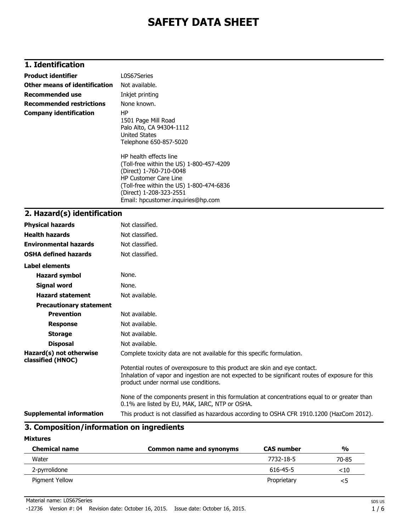# **1. Identification**

| <b>Product identifier</b>       | L0S67Series                                                                                                                                                                                                                                                                                                                                    |
|---------------------------------|------------------------------------------------------------------------------------------------------------------------------------------------------------------------------------------------------------------------------------------------------------------------------------------------------------------------------------------------|
| Other means of identification   | Not available.                                                                                                                                                                                                                                                                                                                                 |
| <b>Recommended use</b>          | Inkjet printing                                                                                                                                                                                                                                                                                                                                |
| <b>Recommended restrictions</b> | None known.                                                                                                                                                                                                                                                                                                                                    |
| <b>Company identification</b>   | HP<br>1501 Page Mill Road<br>Palo Alto, CA 94304-1112<br>United States<br>Telephone 650-857-5020<br>HP health effects line<br>(Toll-free within the US) 1-800-457-4209<br>(Direct) 1-760-710-0048<br><b>HP Customer Care Line</b><br>(Toll-free within the US) 1-800-474-6836<br>(Direct) 1-208-323-2551<br>Email: hpcustomer.inguiries@hp.com |
| ว  Uasard/c\ idontification     |                                                                                                                                                                                                                                                                                                                                                |

### **2. Hazard(s) identification**

| <b>Physical hazards</b>                      | Not classified.                                                                                                                                                                                                        |
|----------------------------------------------|------------------------------------------------------------------------------------------------------------------------------------------------------------------------------------------------------------------------|
| <b>Health hazards</b>                        | Not classified.                                                                                                                                                                                                        |
| <b>Environmental hazards</b>                 | Not classified.                                                                                                                                                                                                        |
| <b>OSHA defined hazards</b>                  | Not classified.                                                                                                                                                                                                        |
| Label elements                               |                                                                                                                                                                                                                        |
| <b>Hazard symbol</b>                         | None.                                                                                                                                                                                                                  |
| <b>Signal word</b>                           | None.                                                                                                                                                                                                                  |
| <b>Hazard statement</b>                      | Not available.                                                                                                                                                                                                         |
| <b>Precautionary statement</b>               |                                                                                                                                                                                                                        |
| <b>Prevention</b>                            | Not available.                                                                                                                                                                                                         |
| <b>Response</b>                              | Not available.                                                                                                                                                                                                         |
| <b>Storage</b>                               | Not available.                                                                                                                                                                                                         |
| <b>Disposal</b>                              | Not available.                                                                                                                                                                                                         |
| Hazard(s) not otherwise<br>classified (HNOC) | Complete toxicity data are not available for this specific formulation.                                                                                                                                                |
|                                              | Potential routes of overexposure to this product are skin and eye contact.<br>Inhalation of vapor and ingestion are not expected to be significant routes of exposure for this<br>product under normal use conditions. |
|                                              | None of the components present in this formulation at concentrations equal to or greater than<br>0.1% are listed by EU, MAK, IARC, NTP or OSHA.                                                                        |
| <b>Supplemental information</b>              | This product is not classified as hazardous according to OSHA CFR 1910.1200 (HazCom 2012).                                                                                                                             |

# **3. Composition/information on ingredients**

#### **Mixtures**

| <b>Chemical name</b> | Common name and synonyms | <b>CAS number</b> | $\frac{0}{0}$ |
|----------------------|--------------------------|-------------------|---------------|
| Water                |                          | 7732-18-5         | 70-85         |
| 2-pyrrolidone        |                          | 616-45-5          | ${<}10$       |
| Pigment Yellow       |                          | Proprietary       | <5            |

Material name: L0S67Series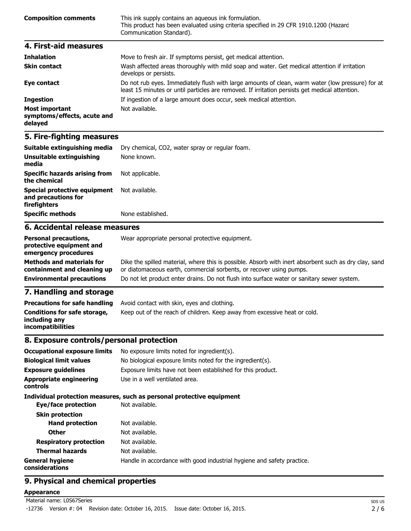| <b>Composition comments</b> | This ink supply contains an aqueous ink formulation.<br>This product has been evaluated using criteria specified in 29 CFR 1910.1200 (Hazard<br>Communication Standard). |
|-----------------------------|--------------------------------------------------------------------------------------------------------------------------------------------------------------------------|
| 4. First-aid measures       |                                                                                                                                                                          |
| <b>Teleslation</b>          | Mouse to froch air. If symptoms norsist, not modical attention                                                                                                           |

| <b>Innaiation</b>                                               | <u>MOVE to fresh air. It symptoms persist, get medical attention.</u>                                                                                                                              |
|-----------------------------------------------------------------|----------------------------------------------------------------------------------------------------------------------------------------------------------------------------------------------------|
| <b>Skin contact</b>                                             | Wash affected areas thoroughly with mild soap and water. Get medical attention if irritation<br>develops or persists.                                                                              |
| Eye contact                                                     | Do not rub eyes. Immediately flush with large amounts of clean, warm water (low pressure) for at<br>least 15 minutes or until particles are removed. If irritation persists get medical attention. |
| <b>Ingestion</b>                                                | If ingestion of a large amount does occur, seek medical attention.                                                                                                                                 |
| <b>Most important</b><br>symptoms/effects, acute and<br>delayed | Not available.                                                                                                                                                                                     |

| Suitable extinguishing media                                        | Dry chemical, CO2, water spray or regular foam.      |
|---------------------------------------------------------------------|------------------------------------------------------|
| Unsuitable extinguishing<br>media                                   | None known.                                          |
| <b>Specific hazards arising from</b><br>the chemical                | Not applicable.                                      |
| Special protective equipment<br>and precautions for<br>firefighters | Not available.                                       |
| <b>Specific methods</b>                                             | None established.                                    |
| 6. Accidental release measures                                      |                                                      |
| Benessel mosesublema                                                | Allega gaananahata managarat musta stirin gardamaant |

| <b>Personal precautions,</b><br>protective equipment and<br>emergency procedures | Wear appropriate personal protective equipment.                                                                                                                              |
|----------------------------------------------------------------------------------|------------------------------------------------------------------------------------------------------------------------------------------------------------------------------|
| <b>Methods and materials for</b><br>containment and cleaning up                  | Dike the spilled material, where this is possible. Absorb with inert absorbent such as dry clay, sand<br>or diatomaceous earth, commercial sorbents, or recover using pumps. |
| <b>Environmental precautions</b>                                                 | Do not let product enter drains. Do not flush into surface water or sanitary sewer system.                                                                                   |
| <b>7</b> Hemelling and stepsee                                                   |                                                                                                                                                                              |

### **7. Handling and storage**

| <b>Precautions for safe handling</b>                                      | Avoid contact with skin, eyes and clothing.                               |
|---------------------------------------------------------------------------|---------------------------------------------------------------------------|
| Conditions for safe storage,<br>including any<br><i>incompatibilities</i> | Keep out of the reach of children. Keep away from excessive heat or cold. |

# **8. Exposure controls/personal protection**

| <b>Occupational exposure limits</b>        | No exposure limits noted for ingredient(s).                            |
|--------------------------------------------|------------------------------------------------------------------------|
| <b>Biological limit values</b>             | No biological exposure limits noted for the ingredient(s).             |
| <b>Exposure guidelines</b>                 | Exposure limits have not been established for this product.            |
| <b>Appropriate engineering</b><br>controls | Use in a well ventilated area.                                         |
|                                            | Individual protection measures, such as personal protective equipment  |
| Eye/face protection                        | Not available.                                                         |
| <b>Skin protection</b>                     |                                                                        |
| <b>Hand protection</b>                     | Not available.                                                         |
| <b>Other</b>                               | Not available.                                                         |
| <b>Respiratory protection</b>              | Not available.                                                         |
| <b>Thermal hazards</b>                     | Not available.                                                         |
| <b>General hygiene</b><br>considerations   | Handle in accordance with good industrial hygiene and safety practice. |

# **9. Physical and chemical properties**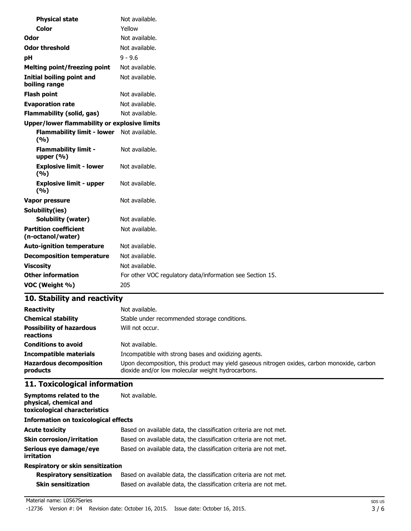| <b>Physical state</b>                             | Not available.                                            |
|---------------------------------------------------|-----------------------------------------------------------|
| Color                                             | Yellow                                                    |
| Odor                                              | Not available.                                            |
| <b>Odor threshold</b>                             | Not available.                                            |
| pH                                                | $9 - 9.6$                                                 |
| <b>Melting point/freezing point</b>               | Not available.                                            |
| <b>Initial boiling point and</b><br>boiling range | Not available.                                            |
| <b>Flash point</b>                                | Not available.                                            |
| <b>Evaporation rate</b>                           | Not available.                                            |
| <b>Flammability (solid, gas)</b>                  | Not available.                                            |
| Upper/lower flammability or explosive limits      |                                                           |
| <b>Flammability limit - lower</b><br>(9/6)        | Not available.                                            |
| <b>Flammability limit -</b><br>upper $(\% )$      | Not available.                                            |
| <b>Explosive limit - lower</b><br>(9/6)           | Not available.                                            |
| <b>Explosive limit - upper</b><br>(9/6)           | Not available.                                            |
| <b>Vapor pressure</b>                             | Not available.                                            |
| Solubility(ies)                                   |                                                           |
| Solubility (water)                                | Not available.                                            |
| <b>Partition coefficient</b><br>(n-octanol/water) | Not available.                                            |
| <b>Auto-ignition temperature</b>                  | Not available.                                            |
| <b>Decomposition temperature</b>                  | Not available.                                            |
| <b>Viscosity</b>                                  | Not available.                                            |
| <b>Other information</b>                          | For other VOC regulatory data/information see Section 15. |
| VOC (Weight %)                                    | 205                                                       |
|                                                   |                                                           |

| <b>Reactivity</b>                            | Not available.                                                                                                                                   |
|----------------------------------------------|--------------------------------------------------------------------------------------------------------------------------------------------------|
| <b>Chemical stability</b>                    | Stable under recommended storage conditions.                                                                                                     |
| <b>Possibility of hazardous</b><br>reactions | Will not occur.                                                                                                                                  |
| <b>Conditions to avoid</b>                   | Not available.                                                                                                                                   |
| <b>Incompatible materials</b>                | Incompatible with strong bases and oxidizing agents.                                                                                             |
| <b>Hazardous decomposition</b><br>products   | Upon decomposition, this product may yield gaseous nitrogen oxides, carbon monoxide, carbon<br>dioxide and/or low molecular weight hydrocarbons. |

# **11. Toxicological information**

| Symptoms related to the<br>physical, chemical and<br>toxicological characteristics | Not available.                                                    |  |
|------------------------------------------------------------------------------------|-------------------------------------------------------------------|--|
| <b>Information on toxicological effects</b>                                        |                                                                   |  |
| <b>Acute toxicity</b>                                                              | Based on available data, the classification criteria are not met. |  |
| <b>Skin corrosion/irritation</b>                                                   | Based on available data, the classification criteria are not met. |  |
| Serious eye damage/eye<br>irritation                                               | Based on available data, the classification criteria are not met. |  |
| <b>Respiratory or skin sensitization</b>                                           |                                                                   |  |

| <b>Respiratory sensitization</b> | Based on available data, the classification criteria are not met. |
|----------------------------------|-------------------------------------------------------------------|
| Skin sensitization               | Based on available data, the classification criteria are not met. |

#### Material name: L0S67Series

-12736 Version #: 04 Revision date: October 16, 2015. Issue date: October 16, 2015.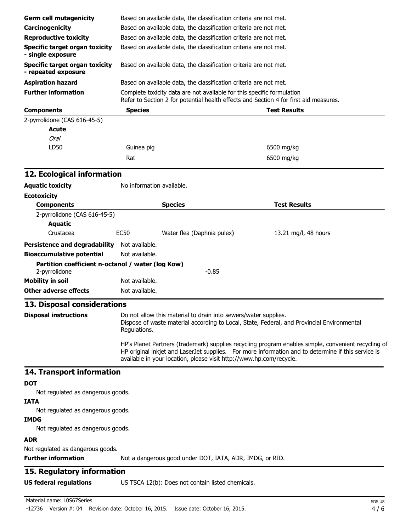| <b>Germ cell mutagenicity</b>                                                                                                                                                                                                                                                    |                                                                   | Based on available data, the classification criteria are not met.                                                                                               |                                                                                            |  |
|----------------------------------------------------------------------------------------------------------------------------------------------------------------------------------------------------------------------------------------------------------------------------------|-------------------------------------------------------------------|-----------------------------------------------------------------------------------------------------------------------------------------------------------------|--------------------------------------------------------------------------------------------|--|
| Carcinogenicity                                                                                                                                                                                                                                                                  | Based on available data, the classification criteria are not met. |                                                                                                                                                                 |                                                                                            |  |
| <b>Reproductive toxicity</b>                                                                                                                                                                                                                                                     |                                                                   | Based on available data, the classification criteria are not met.                                                                                               |                                                                                            |  |
| <b>Specific target organ toxicity</b>                                                                                                                                                                                                                                            |                                                                   | Based on available data, the classification criteria are not met.                                                                                               |                                                                                            |  |
| - single exposure<br><b>Specific target organ toxicity</b>                                                                                                                                                                                                                       | Based on available data, the classification criteria are not met. |                                                                                                                                                                 |                                                                                            |  |
| - repeated exposure                                                                                                                                                                                                                                                              |                                                                   |                                                                                                                                                                 |                                                                                            |  |
| <b>Aspiration hazard</b>                                                                                                                                                                                                                                                         |                                                                   | Based on available data, the classification criteria are not met.                                                                                               |                                                                                            |  |
| <b>Further information</b>                                                                                                                                                                                                                                                       |                                                                   | Complete toxicity data are not available for this specific formulation<br>Refer to Section 2 for potential health effects and Section 4 for first aid measures. |                                                                                            |  |
| <b>Components</b>                                                                                                                                                                                                                                                                | <b>Species</b>                                                    |                                                                                                                                                                 | <b>Test Results</b>                                                                        |  |
| 2-pyrrolidone (CAS 616-45-5)                                                                                                                                                                                                                                                     |                                                                   |                                                                                                                                                                 |                                                                                            |  |
| <b>Acute</b>                                                                                                                                                                                                                                                                     |                                                                   |                                                                                                                                                                 |                                                                                            |  |
| <b>Oral</b>                                                                                                                                                                                                                                                                      |                                                                   |                                                                                                                                                                 |                                                                                            |  |
| LD50                                                                                                                                                                                                                                                                             | Guinea pig                                                        |                                                                                                                                                                 | 6500 mg/kg                                                                                 |  |
|                                                                                                                                                                                                                                                                                  | Rat                                                               |                                                                                                                                                                 | 6500 mg/kg                                                                                 |  |
| 12. Ecological information                                                                                                                                                                                                                                                       |                                                                   |                                                                                                                                                                 |                                                                                            |  |
| <b>Aquatic toxicity</b>                                                                                                                                                                                                                                                          | No information available.                                         |                                                                                                                                                                 |                                                                                            |  |
| <b>Ecotoxicity</b>                                                                                                                                                                                                                                                               |                                                                   |                                                                                                                                                                 |                                                                                            |  |
| <b>Components</b>                                                                                                                                                                                                                                                                |                                                                   | <b>Species</b>                                                                                                                                                  | <b>Test Results</b>                                                                        |  |
| 2-pyrrolidone (CAS 616-45-5)                                                                                                                                                                                                                                                     |                                                                   |                                                                                                                                                                 |                                                                                            |  |
| <b>Aquatic</b>                                                                                                                                                                                                                                                                   |                                                                   |                                                                                                                                                                 |                                                                                            |  |
| Crustacea                                                                                                                                                                                                                                                                        | <b>EC50</b>                                                       | Water flea (Daphnia pulex)                                                                                                                                      | 13.21 mg/l, 48 hours                                                                       |  |
| Persistence and degradability Not available.                                                                                                                                                                                                                                     |                                                                   |                                                                                                                                                                 |                                                                                            |  |
| <b>Bioaccumulative potential</b>                                                                                                                                                                                                                                                 | Not available.                                                    |                                                                                                                                                                 |                                                                                            |  |
| Partition coefficient n-octanol / water (log Kow)<br>2-pyrrolidone                                                                                                                                                                                                               |                                                                   | $-0.85$                                                                                                                                                         |                                                                                            |  |
| <b>Mobility in soil</b>                                                                                                                                                                                                                                                          | Not available.                                                    |                                                                                                                                                                 |                                                                                            |  |
| <b>Other adverse effects</b>                                                                                                                                                                                                                                                     | Not available.                                                    |                                                                                                                                                                 |                                                                                            |  |
| 13. Disposal considerations                                                                                                                                                                                                                                                      |                                                                   |                                                                                                                                                                 |                                                                                            |  |
| <b>Disposal instructions</b>                                                                                                                                                                                                                                                     | Regulations.                                                      | Do not allow this material to drain into sewers/water supplies.                                                                                                 | Dispose of waste material according to Local, State, Federal, and Provincial Environmental |  |
| HP's Planet Partners (trademark) supplies recycling program enables simple, convenient recycling of<br>HP original inkjet and LaserJet supplies. For more information and to determine if this service is<br>available in your location, please visit http://www.hp.com/recycle. |                                                                   |                                                                                                                                                                 |                                                                                            |  |
| 14. Transport information                                                                                                                                                                                                                                                        |                                                                   |                                                                                                                                                                 |                                                                                            |  |
| <b>DOT</b>                                                                                                                                                                                                                                                                       |                                                                   |                                                                                                                                                                 |                                                                                            |  |
| Not regulated as dangerous goods.                                                                                                                                                                                                                                                |                                                                   |                                                                                                                                                                 |                                                                                            |  |
| <b>IATA</b><br>Not regulated as dangerous goods.                                                                                                                                                                                                                                 |                                                                   |                                                                                                                                                                 |                                                                                            |  |
| <b>IMDG</b>                                                                                                                                                                                                                                                                      |                                                                   |                                                                                                                                                                 |                                                                                            |  |
| Not regulated as dangerous goods.<br><b>ADR</b>                                                                                                                                                                                                                                  |                                                                   |                                                                                                                                                                 |                                                                                            |  |
| Not regulated as dangerous goods.                                                                                                                                                                                                                                                |                                                                   |                                                                                                                                                                 |                                                                                            |  |
| <b>Further information</b>                                                                                                                                                                                                                                                       |                                                                   | Not a dangerous good under DOT, IATA, ADR, IMDG, or RID.                                                                                                        |                                                                                            |  |
| 15. Regulatory information                                                                                                                                                                                                                                                       |                                                                   |                                                                                                                                                                 |                                                                                            |  |
| <b>US federal regulations</b>                                                                                                                                                                                                                                                    |                                                                   | US TSCA 12(b): Does not contain listed chemicals.                                                                                                               |                                                                                            |  |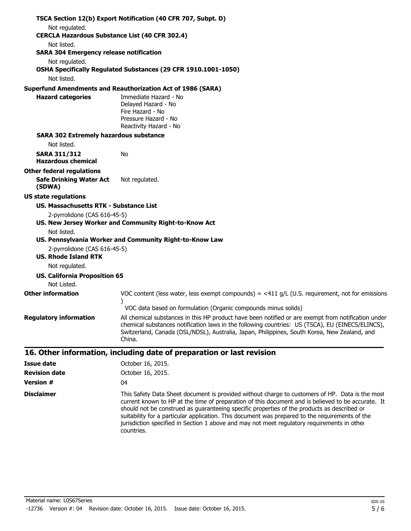|                                                                         | TSCA Section 12(b) Export Notification (40 CFR 707, Subpt. D)                                                                                                                                                                                                                                                     |
|-------------------------------------------------------------------------|-------------------------------------------------------------------------------------------------------------------------------------------------------------------------------------------------------------------------------------------------------------------------------------------------------------------|
| Not regulated.<br><b>CERCLA Hazardous Substance List (40 CFR 302.4)</b> |                                                                                                                                                                                                                                                                                                                   |
| Not listed.                                                             |                                                                                                                                                                                                                                                                                                                   |
| <b>SARA 304 Emergency release notification</b>                          |                                                                                                                                                                                                                                                                                                                   |
| Not regulated.                                                          |                                                                                                                                                                                                                                                                                                                   |
|                                                                         | OSHA Specifically Regulated Substances (29 CFR 1910.1001-1050)                                                                                                                                                                                                                                                    |
| Not listed.                                                             |                                                                                                                                                                                                                                                                                                                   |
|                                                                         | <b>Superfund Amendments and Reauthorization Act of 1986 (SARA)</b>                                                                                                                                                                                                                                                |
| <b>Hazard categories</b>                                                | Immediate Hazard - No<br>Delayed Hazard - No<br>Fire Hazard - No<br>Pressure Hazard - No<br>Reactivity Hazard - No                                                                                                                                                                                                |
| <b>SARA 302 Extremely hazardous substance</b>                           |                                                                                                                                                                                                                                                                                                                   |
| Not listed.                                                             |                                                                                                                                                                                                                                                                                                                   |
| <b>SARA 311/312</b><br><b>Hazardous chemical</b>                        | No                                                                                                                                                                                                                                                                                                                |
| <b>Other federal regulations</b>                                        |                                                                                                                                                                                                                                                                                                                   |
| <b>Safe Drinking Water Act</b><br>(SDWA)                                | Not regulated.                                                                                                                                                                                                                                                                                                    |
| <b>US state regulations</b>                                             |                                                                                                                                                                                                                                                                                                                   |
| US. Massachusetts RTK - Substance List                                  |                                                                                                                                                                                                                                                                                                                   |
| 2-pyrrolidone (CAS 616-45-5)                                            |                                                                                                                                                                                                                                                                                                                   |
|                                                                         | US. New Jersey Worker and Community Right-to-Know Act                                                                                                                                                                                                                                                             |
| Not listed.                                                             |                                                                                                                                                                                                                                                                                                                   |
| 2-pyrrolidone (CAS 616-45-5)                                            | US. Pennsylvania Worker and Community Right-to-Know Law                                                                                                                                                                                                                                                           |
| <b>US. Rhode Island RTK</b>                                             |                                                                                                                                                                                                                                                                                                                   |
| Not regulated.                                                          |                                                                                                                                                                                                                                                                                                                   |
| <b>US. California Proposition 65</b>                                    |                                                                                                                                                                                                                                                                                                                   |
| Not Listed.                                                             |                                                                                                                                                                                                                                                                                                                   |
| <b>Other information</b>                                                | VOC content (less water, less exempt compounds) = $\lt 411$ g/L (U.S. requirement, not for emissions                                                                                                                                                                                                              |
|                                                                         | VOC data based on formulation (Organic compounds minus solids)                                                                                                                                                                                                                                                    |
| <b>Regulatory information</b>                                           | All chemical substances in this HP product have been notified or are exempt from notification under<br>chemical substances notification laws in the following countries: US (TSCA), EU (EINECS/ELINCS),<br>Switzerland, Canada (DSL/NDSL), Australia, Japan, Philippines, South Korea, New Zealand, and<br>China. |
|                                                                         | 16. Other information, including date of preparation or last revision                                                                                                                                                                                                                                             |
| <b>Issue date</b>                                                       | October 16, 2015.                                                                                                                                                                                                                                                                                                 |
| <b>Revision date</b>                                                    | October 16, 2015.                                                                                                                                                                                                                                                                                                 |
| <b>Version #</b>                                                        | 04                                                                                                                                                                                                                                                                                                                |

**Disclaimer** This Safety Data Sheet document is provided without charge to customers of HP. Data is the most current known to HP at the time of preparation of this document and is believed to be accurate. It should not be construed as guaranteeing specific properties of the products as described or suitability for a particular application. This document was prepared to the requirements of the jurisdiction specified in Section 1 above and may not meet regulatory requirements in other countries.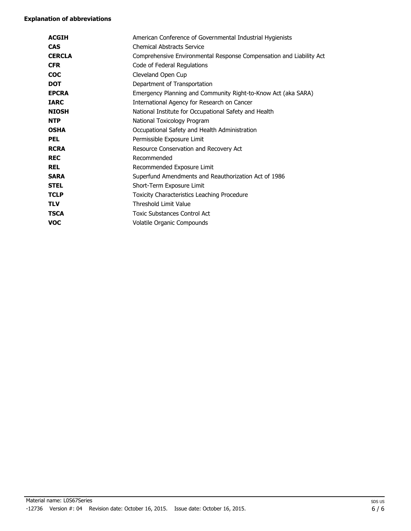| <b>ACGIH</b>  | American Conference of Governmental Industrial Hygienists           |
|---------------|---------------------------------------------------------------------|
| <b>CAS</b>    | <b>Chemical Abstracts Service</b>                                   |
| <b>CERCLA</b> | Comprehensive Environmental Response Compensation and Liability Act |
| <b>CFR</b>    | Code of Federal Regulations                                         |
| <b>COC</b>    | Cleveland Open Cup                                                  |
| <b>DOT</b>    | Department of Transportation                                        |
| <b>EPCRA</b>  | Emergency Planning and Community Right-to-Know Act (aka SARA)       |
| <b>IARC</b>   | International Agency for Research on Cancer                         |
| <b>NIOSH</b>  | National Institute for Occupational Safety and Health               |
| <b>NTP</b>    | National Toxicology Program                                         |
| <b>OSHA</b>   | Occupational Safety and Health Administration                       |
| <b>PEL</b>    | Permissible Exposure Limit                                          |
| <b>RCRA</b>   | Resource Conservation and Recovery Act                              |
| <b>REC</b>    | Recommended                                                         |
| <b>REL</b>    | Recommended Exposure Limit                                          |
| <b>SARA</b>   | Superfund Amendments and Reauthorization Act of 1986                |
| <b>STEL</b>   | Short-Term Exposure Limit                                           |
| <b>TCLP</b>   | Toxicity Characteristics Leaching Procedure                         |
| <b>TLV</b>    | <b>Threshold Limit Value</b>                                        |
| <b>TSCA</b>   | <b>Toxic Substances Control Act</b>                                 |
| voc           | Volatile Organic Compounds                                          |
|               |                                                                     |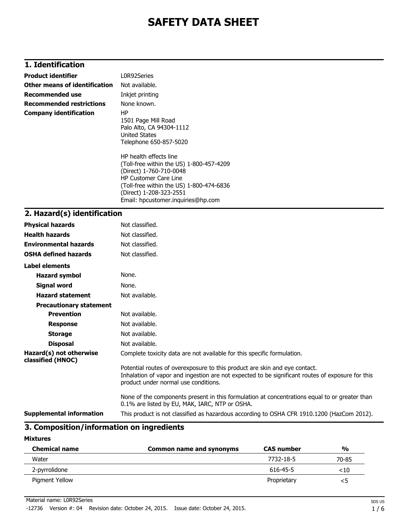# **1. Identification**

| <b>Product identifier</b>            | L0R92Series                                                                                                                                                                                                                                                                                                                                     |
|--------------------------------------|-------------------------------------------------------------------------------------------------------------------------------------------------------------------------------------------------------------------------------------------------------------------------------------------------------------------------------------------------|
| <b>Other means of identification</b> | Not available.                                                                                                                                                                                                                                                                                                                                  |
| <b>Recommended use</b>               | Inkjet printing                                                                                                                                                                                                                                                                                                                                 |
| <b>Recommended restrictions</b>      | None known.                                                                                                                                                                                                                                                                                                                                     |
| <b>Company identification</b>        | HP.<br>1501 Page Mill Road<br>Palo Alto, CA 94304-1112<br>United States<br>Telephone 650-857-5020<br>HP health effects line<br>(Toll-free within the US) 1-800-457-4209<br>(Direct) 1-760-710-0048<br><b>HP Customer Care Line</b><br>(Toll-free within the US) 1-800-474-6836<br>(Direct) 1-208-323-2551<br>Email: hpcustomer.inguiries@hp.com |
|                                      |                                                                                                                                                                                                                                                                                                                                                 |

### **2. Hazard(s) identification**

| <b>Physical hazards</b>                      | Not classified.                                                                                                                                                                                                        |
|----------------------------------------------|------------------------------------------------------------------------------------------------------------------------------------------------------------------------------------------------------------------------|
| <b>Health hazards</b>                        | Not classified.                                                                                                                                                                                                        |
| <b>Environmental hazards</b>                 | Not classified.                                                                                                                                                                                                        |
| <b>OSHA defined hazards</b>                  | Not classified.                                                                                                                                                                                                        |
| Label elements                               |                                                                                                                                                                                                                        |
| <b>Hazard symbol</b>                         | None.                                                                                                                                                                                                                  |
| Signal word                                  | None.                                                                                                                                                                                                                  |
| <b>Hazard statement</b>                      | Not available.                                                                                                                                                                                                         |
| <b>Precautionary statement</b>               |                                                                                                                                                                                                                        |
| <b>Prevention</b>                            | Not available.                                                                                                                                                                                                         |
| <b>Response</b>                              | Not available.                                                                                                                                                                                                         |
| <b>Storage</b>                               | Not available.                                                                                                                                                                                                         |
| <b>Disposal</b>                              | Not available.                                                                                                                                                                                                         |
| Hazard(s) not otherwise<br>classified (HNOC) | Complete toxicity data are not available for this specific formulation.                                                                                                                                                |
|                                              | Potential routes of overexposure to this product are skin and eye contact.<br>Inhalation of vapor and ingestion are not expected to be significant routes of exposure for this<br>product under normal use conditions. |
|                                              | None of the components present in this formulation at concentrations equal to or greater than<br>0.1% are listed by EU, MAK, IARC, NTP or OSHA.                                                                        |
| <b>Supplemental information</b>              | This product is not classified as hazardous according to OSHA CFR 1910.1200 (HazCom 2012).                                                                                                                             |

# **3. Composition/information on ingredients**

#### **Mixtures**

| <b>Chemical name</b> | Common name and synonyms | <b>CAS number</b> | $\frac{0}{0}$ |
|----------------------|--------------------------|-------------------|---------------|
| Water                |                          | 7732-18-5         | 70-85         |
| 2-pyrrolidone        |                          | 616-45-5          | ${<}10$       |
| Pigment Yellow       |                          | Proprietary       |               |

Material name: L0R92Series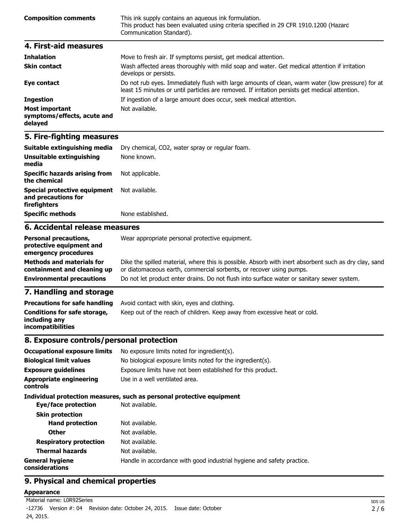| <b>Composition comments</b> | This ink supply contains an aqueous ink formulation.<br>This product has been evaluated using criteria specified in 29 CFR 1910.1200 (Hazard<br>Communication Standard). |
|-----------------------------|--------------------------------------------------------------------------------------------------------------------------------------------------------------------------|
| 4. First-aid measures       |                                                                                                                                                                          |
| <b>Inhalation</b>           | Move to fresh air. If symptoms persist, get medical attention.                                                                                                           |

|                                                                 | riove to fresh all. If symptoms persist, yet mealear attention.                                                                                                                                    |
|-----------------------------------------------------------------|----------------------------------------------------------------------------------------------------------------------------------------------------------------------------------------------------|
| <b>Skin contact</b>                                             | Wash affected areas thoroughly with mild soap and water. Get medical attention if irritation<br>develops or persists.                                                                              |
| Eye contact                                                     | Do not rub eyes. Immediately flush with large amounts of clean, warm water (low pressure) for at<br>least 15 minutes or until particles are removed. If irritation persists get medical attention. |
| <b>Ingestion</b>                                                | If ingestion of a large amount does occur, seek medical attention.                                                                                                                                 |
| <b>Most important</b><br>symptoms/effects, acute and<br>delayed | Not available.                                                                                                                                                                                     |

| Suitable extinguishing media                                                       | Dry chemical, CO2, water spray or regular foam. |  |
|------------------------------------------------------------------------------------|-------------------------------------------------|--|
| Unsuitable extinguishing<br>media                                                  | None known.                                     |  |
| <b>Specific hazards arising from</b><br>the chemical                               | Not applicable.                                 |  |
| Special protective equipment Not available.<br>and precautions for<br>firefighters |                                                 |  |
| <b>Specific methods</b>                                                            | None established.                               |  |
| 6. Accidental release measures                                                     |                                                 |  |

#### **Personal precautions, protective equipment and emergency procedures** Wear appropriate personal protective equipment.

| <b>Methods and materials for</b> | Dike the spilled material, where this is possible. Absorb with inert absorbent such as dry clay, sand |
|----------------------------------|-------------------------------------------------------------------------------------------------------|
| containment and cleaning up      | or diatomaceous earth, commercial sorbents, or recover using pumps.                                   |
| <b>Environmental precautions</b> | Do not let product enter drains. Do not flush into surface water or sanitary sewer system.            |

# **7. Handling and storage**

| <b>Precautions for safe handling</b>                                      | Avoid contact with skin, eyes and clothing.                               |
|---------------------------------------------------------------------------|---------------------------------------------------------------------------|
| Conditions for safe storage,<br>including any<br><b>incompatibilities</b> | Keep out of the reach of children. Keep away from excessive heat or cold. |

### **8. Exposure controls/personal protection**

| <b>Occupational exposure limits</b>        | No exposure limits noted for ingredient(s).                            |
|--------------------------------------------|------------------------------------------------------------------------|
| <b>Biological limit values</b>             | No biological exposure limits noted for the ingredient(s).             |
| <b>Exposure guidelines</b>                 | Exposure limits have not been established for this product.            |
| <b>Appropriate engineering</b><br>controls | Use in a well ventilated area.                                         |
|                                            | Individual protection measures, such as personal protective equipment  |
| Eye/face protection                        | Not available.                                                         |
| <b>Skin protection</b>                     |                                                                        |
| <b>Hand protection</b>                     | Not available.                                                         |
| <b>Other</b>                               | Not available.                                                         |
| <b>Respiratory protection</b>              | Not available.                                                         |
| <b>Thermal hazards</b>                     | Not available.                                                         |
| <b>General hygiene</b><br>considerations   | Handle in accordance with good industrial hygiene and safety practice. |

# **9. Physical and chemical properties**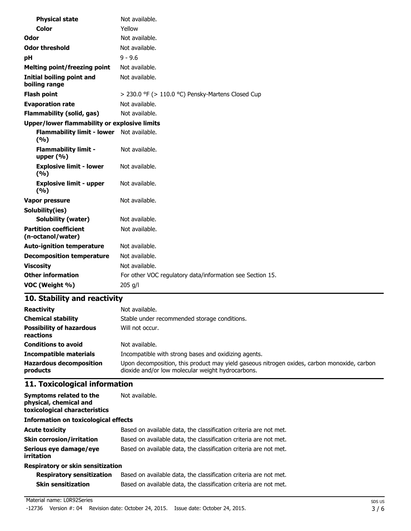| <b>Physical state</b>                               | Not available.                                            |  |
|-----------------------------------------------------|-----------------------------------------------------------|--|
| Color                                               | Yellow                                                    |  |
| Odor                                                | Not available.                                            |  |
| <b>Odor threshold</b>                               | Not available.                                            |  |
| рH                                                  | $9 - 9.6$                                                 |  |
| <b>Melting point/freezing point</b>                 | Not available.                                            |  |
| <b>Initial boiling point and</b><br>boiling range   | Not available.                                            |  |
| <b>Flash point</b>                                  | > 230.0 °F (> 110.0 °C) Pensky-Martens Closed Cup         |  |
| <b>Evaporation rate</b>                             | Not available.                                            |  |
| <b>Flammability (solid, gas)</b>                    | Not available.                                            |  |
| <b>Upper/lower flammability or explosive limits</b> |                                                           |  |
| <b>Flammability limit - lower</b><br>(%)            | Not available.                                            |  |
| <b>Flammability limit -</b><br>upper $(% )$         | Not available.                                            |  |
| <b>Explosive limit - lower</b><br>(%)               | Not available.                                            |  |
| <b>Explosive limit - upper</b><br>(%)               | Not available.                                            |  |
| Vapor pressure                                      | Not available.                                            |  |
| Solubility(ies)                                     |                                                           |  |
| <b>Solubility (water)</b>                           | Not available.                                            |  |
| <b>Partition coefficient</b><br>(n-octanol/water)   | Not available.                                            |  |
| <b>Auto-ignition temperature</b>                    | Not available.                                            |  |
| <b>Decomposition temperature</b>                    | Not available.                                            |  |
| <b>Viscosity</b>                                    | Not available.                                            |  |
| <b>Other information</b>                            | For other VOC regulatory data/information see Section 15. |  |
| VOC (Weight %)                                      | 205 g/l                                                   |  |

| <b>Reactivity</b>                            | Not available.                                                                                                                                   |
|----------------------------------------------|--------------------------------------------------------------------------------------------------------------------------------------------------|
| <b>Chemical stability</b>                    | Stable under recommended storage conditions.                                                                                                     |
| <b>Possibility of hazardous</b><br>reactions | Will not occur.                                                                                                                                  |
| <b>Conditions to avoid</b>                   | Not available.                                                                                                                                   |
| <b>Incompatible materials</b>                | Incompatible with strong bases and oxidizing agents.                                                                                             |
| <b>Hazardous decomposition</b><br>products   | Upon decomposition, this product may yield gaseous nitrogen oxides, carbon monoxide, carbon<br>dioxide and/or low molecular weight hydrocarbons. |

# **11. Toxicological information**

| Symptoms related to the<br>physical, chemical and<br>toxicological characteristics | Not available.                                                    |  |
|------------------------------------------------------------------------------------|-------------------------------------------------------------------|--|
| <b>Information on toxicological effects</b>                                        |                                                                   |  |
| <b>Acute toxicity</b>                                                              | Based on available data, the classification criteria are not met. |  |
| <b>Skin corrosion/irritation</b>                                                   | Based on available data, the classification criteria are not met. |  |
| Serious eye damage/eye<br>irritation                                               | Based on available data, the classification criteria are not met. |  |
| Respiratory or skin sensitization                                                  |                                                                   |  |

| <b>Respiratory sensitization</b> | Based on available data, the classification criteria are not met. |
|----------------------------------|-------------------------------------------------------------------|
| Skin sensitization               | Based on available data, the classification criteria are not met. |

#### Material name: L0R92Series

-12736 Version #: 04 Revision date: October 24, 2015. Issue date: October 24, 2015.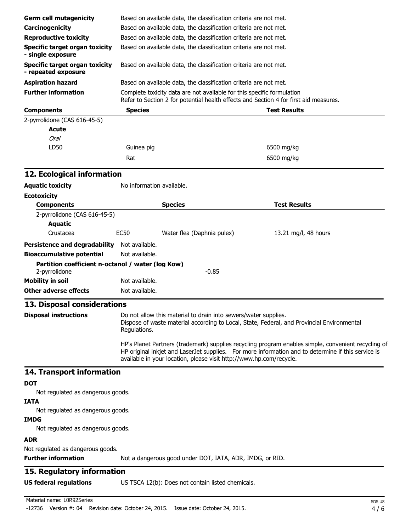| <b>Germ cell mutagenicity</b>                                      |                                                                   | Based on available data, the classification criteria are not met.      |                                                                                                                                                                                                           |
|--------------------------------------------------------------------|-------------------------------------------------------------------|------------------------------------------------------------------------|-----------------------------------------------------------------------------------------------------------------------------------------------------------------------------------------------------------|
| Carcinogenicity                                                    | Based on available data, the classification criteria are not met. |                                                                        |                                                                                                                                                                                                           |
| <b>Reproductive toxicity</b>                                       | Based on available data, the classification criteria are not met. |                                                                        |                                                                                                                                                                                                           |
| <b>Specific target organ toxicity</b><br>- single exposure         |                                                                   | Based on available data, the classification criteria are not met.      |                                                                                                                                                                                                           |
| <b>Specific target organ toxicity</b><br>- repeated exposure       |                                                                   | Based on available data, the classification criteria are not met.      |                                                                                                                                                                                                           |
| <b>Aspiration hazard</b>                                           |                                                                   | Based on available data, the classification criteria are not met.      |                                                                                                                                                                                                           |
| <b>Further information</b>                                         |                                                                   | Complete toxicity data are not available for this specific formulation |                                                                                                                                                                                                           |
|                                                                    |                                                                   |                                                                        | Refer to Section 2 for potential health effects and Section 4 for first aid measures.                                                                                                                     |
| <b>Components</b>                                                  | <b>Species</b>                                                    |                                                                        | <b>Test Results</b>                                                                                                                                                                                       |
| 2-pyrrolidone (CAS 616-45-5)                                       |                                                                   |                                                                        |                                                                                                                                                                                                           |
| <b>Acute</b>                                                       |                                                                   |                                                                        |                                                                                                                                                                                                           |
| <b>Oral</b>                                                        |                                                                   |                                                                        |                                                                                                                                                                                                           |
| LD50                                                               | Guinea pig                                                        |                                                                        | 6500 mg/kg                                                                                                                                                                                                |
|                                                                    | Rat                                                               |                                                                        | 6500 mg/kg                                                                                                                                                                                                |
| 12. Ecological information                                         |                                                                   |                                                                        |                                                                                                                                                                                                           |
| <b>Aquatic toxicity</b>                                            | No information available.                                         |                                                                        |                                                                                                                                                                                                           |
| <b>Ecotoxicity</b>                                                 |                                                                   |                                                                        |                                                                                                                                                                                                           |
| <b>Components</b>                                                  |                                                                   | <b>Species</b>                                                         | <b>Test Results</b>                                                                                                                                                                                       |
| 2-pyrrolidone (CAS 616-45-5)                                       |                                                                   |                                                                        |                                                                                                                                                                                                           |
| <b>Aquatic</b>                                                     |                                                                   |                                                                        |                                                                                                                                                                                                           |
| Crustacea                                                          | <b>EC50</b>                                                       | Water flea (Daphnia pulex)                                             | 13.21 mg/l, 48 hours                                                                                                                                                                                      |
| Persistence and degradability Not available.                       |                                                                   |                                                                        |                                                                                                                                                                                                           |
| <b>Bioaccumulative potential</b>                                   | Not available.                                                    |                                                                        |                                                                                                                                                                                                           |
| Partition coefficient n-octanol / water (log Kow)<br>2-pyrrolidone |                                                                   | $-0.85$                                                                |                                                                                                                                                                                                           |
| <b>Mobility in soil</b>                                            | Not available.                                                    |                                                                        |                                                                                                                                                                                                           |
| <b>Other adverse effects</b>                                       | Not available.                                                    |                                                                        |                                                                                                                                                                                                           |
| 13. Disposal considerations                                        |                                                                   |                                                                        |                                                                                                                                                                                                           |
| <b>Disposal instructions</b>                                       | Regulations.                                                      | Do not allow this material to drain into sewers/water supplies.        | Dispose of waste material according to Local, State, Federal, and Provincial Environmental                                                                                                                |
|                                                                    |                                                                   | available in your location, please visit http://www.hp.com/recycle.    | HP's Planet Partners (trademark) supplies recycling program enables simple, convenient recycling of<br>HP original inkjet and LaserJet supplies. For more information and to determine if this service is |
| 14. Transport information                                          |                                                                   |                                                                        |                                                                                                                                                                                                           |
| <b>DOT</b>                                                         |                                                                   |                                                                        |                                                                                                                                                                                                           |
| Not regulated as dangerous goods.                                  |                                                                   |                                                                        |                                                                                                                                                                                                           |
| <b>IATA</b>                                                        |                                                                   |                                                                        |                                                                                                                                                                                                           |
| Not regulated as dangerous goods.<br><b>IMDG</b>                   |                                                                   |                                                                        |                                                                                                                                                                                                           |
| Not regulated as dangerous goods.                                  |                                                                   |                                                                        |                                                                                                                                                                                                           |
| <b>ADR</b>                                                         |                                                                   |                                                                        |                                                                                                                                                                                                           |
| Not regulated as dangerous goods.<br><b>Further information</b>    |                                                                   | Not a dangerous good under DOT, IATA, ADR, IMDG, or RID.               |                                                                                                                                                                                                           |
| 15. Regulatory information                                         |                                                                   |                                                                        |                                                                                                                                                                                                           |
| <b>US federal regulations</b>                                      |                                                                   | US TSCA 12(b): Does not contain listed chemicals.                      |                                                                                                                                                                                                           |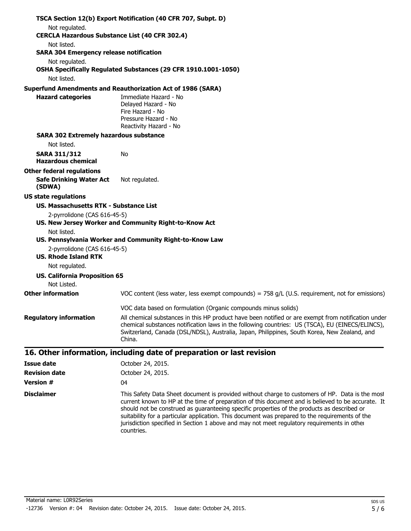|                                                                         | TSCA Section 12(b) Export Notification (40 CFR 707, Subpt. D)                                                                                                                                                                                                                                                     |
|-------------------------------------------------------------------------|-------------------------------------------------------------------------------------------------------------------------------------------------------------------------------------------------------------------------------------------------------------------------------------------------------------------|
| Not regulated.<br><b>CERCLA Hazardous Substance List (40 CFR 302.4)</b> |                                                                                                                                                                                                                                                                                                                   |
| Not listed.                                                             |                                                                                                                                                                                                                                                                                                                   |
| <b>SARA 304 Emergency release notification</b>                          |                                                                                                                                                                                                                                                                                                                   |
| Not regulated.                                                          |                                                                                                                                                                                                                                                                                                                   |
|                                                                         | OSHA Specifically Regulated Substances (29 CFR 1910.1001-1050)                                                                                                                                                                                                                                                    |
| Not listed.                                                             |                                                                                                                                                                                                                                                                                                                   |
|                                                                         | <b>Superfund Amendments and Reauthorization Act of 1986 (SARA)</b>                                                                                                                                                                                                                                                |
| <b>Hazard categories</b>                                                | Immediate Hazard - No                                                                                                                                                                                                                                                                                             |
|                                                                         | Delayed Hazard - No<br>Fire Hazard - No                                                                                                                                                                                                                                                                           |
|                                                                         | Pressure Hazard - No                                                                                                                                                                                                                                                                                              |
|                                                                         | Reactivity Hazard - No                                                                                                                                                                                                                                                                                            |
| <b>SARA 302 Extremely hazardous substance</b>                           |                                                                                                                                                                                                                                                                                                                   |
| Not listed.                                                             |                                                                                                                                                                                                                                                                                                                   |
| <b>SARA 311/312</b><br><b>Hazardous chemical</b>                        | No                                                                                                                                                                                                                                                                                                                |
| <b>Other federal regulations</b>                                        |                                                                                                                                                                                                                                                                                                                   |
| <b>Safe Drinking Water Act</b><br>(SDWA)                                | Not regulated.                                                                                                                                                                                                                                                                                                    |
| <b>US state regulations</b>                                             |                                                                                                                                                                                                                                                                                                                   |
| US. Massachusetts RTK - Substance List                                  |                                                                                                                                                                                                                                                                                                                   |
| 2-pyrrolidone (CAS 616-45-5)                                            | US. New Jersey Worker and Community Right-to-Know Act                                                                                                                                                                                                                                                             |
| Not listed.                                                             |                                                                                                                                                                                                                                                                                                                   |
|                                                                         | US. Pennsylvania Worker and Community Right-to-Know Law                                                                                                                                                                                                                                                           |
| 2-pyrrolidone (CAS 616-45-5)<br><b>US. Rhode Island RTK</b>             |                                                                                                                                                                                                                                                                                                                   |
| Not regulated.                                                          |                                                                                                                                                                                                                                                                                                                   |
| <b>US. California Proposition 65</b><br>Not Listed.                     |                                                                                                                                                                                                                                                                                                                   |
| <b>Other information</b>                                                | VOC content (less water, less exempt compounds) = $758$ g/L (U.S. requirement, not for emissions)                                                                                                                                                                                                                 |
|                                                                         | VOC data based on formulation (Organic compounds minus solids)                                                                                                                                                                                                                                                    |
| <b>Regulatory information</b>                                           | All chemical substances in this HP product have been notified or are exempt from notification under<br>chemical substances notification laws in the following countries: US (TSCA), EU (EINECS/ELINCS),<br>Switzerland, Canada (DSL/NDSL), Australia, Japan, Philippines, South Korea, New Zealand, and<br>China. |
|                                                                         | 16. Other information, including date of preparation or last revision                                                                                                                                                                                                                                             |
| <b>Issue date</b>                                                       | October 24, 2015.                                                                                                                                                                                                                                                                                                 |
| <b>Revision date</b>                                                    | October 24, 2015.                                                                                                                                                                                                                                                                                                 |
| <b>Version #</b>                                                        | 04                                                                                                                                                                                                                                                                                                                |
| <b>Disclaimer</b>                                                       | This Safety Data Sheet document is provided without charge to customers of HP. Data is the most                                                                                                                                                                                                                   |

current known to HP at the time of preparation of this document and is believed to be accurate. It should not be construed as guaranteeing specific properties of the products as described or suitability for a particular application. This document was prepared to the requirements of the jurisdiction specified in Section 1 above and may not meet regulatory requirements in other

Material name: L0R92Series -12736 Version #: 04 Revision date: October 24, 2015. Issue date: October 24, 2015.

countries.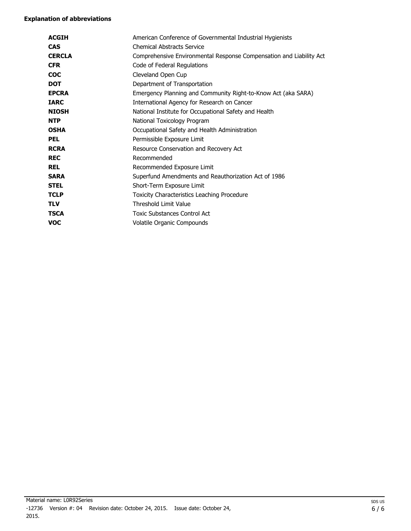| <b>ACGIH</b>  | American Conference of Governmental Industrial Hygienists           |
|---------------|---------------------------------------------------------------------|
| <b>CAS</b>    | <b>Chemical Abstracts Service</b>                                   |
| <b>CERCLA</b> | Comprehensive Environmental Response Compensation and Liability Act |
| <b>CFR</b>    | Code of Federal Regulations                                         |
| <b>COC</b>    | Cleveland Open Cup                                                  |
| <b>DOT</b>    | Department of Transportation                                        |
| <b>EPCRA</b>  | Emergency Planning and Community Right-to-Know Act (aka SARA)       |
| <b>IARC</b>   | International Agency for Research on Cancer                         |
| <b>NIOSH</b>  | National Institute for Occupational Safety and Health               |
| <b>NTP</b>    | National Toxicology Program                                         |
| <b>OSHA</b>   | Occupational Safety and Health Administration                       |
| <b>PEL</b>    | Permissible Exposure Limit                                          |
| <b>RCRA</b>   | Resource Conservation and Recovery Act                              |
| <b>REC</b>    | Recommended                                                         |
| <b>REL</b>    | Recommended Exposure Limit                                          |
| <b>SARA</b>   | Superfund Amendments and Reauthorization Act of 1986                |
| <b>STEL</b>   | Short-Term Exposure Limit                                           |
| <b>TCLP</b>   | Toxicity Characteristics Leaching Procedure                         |
| <b>TLV</b>    | Threshold Limit Value                                               |
| <b>TSCA</b>   | <b>Toxic Substances Control Act</b>                                 |
| <b>VOC</b>    | Volatile Organic Compounds                                          |
|               |                                                                     |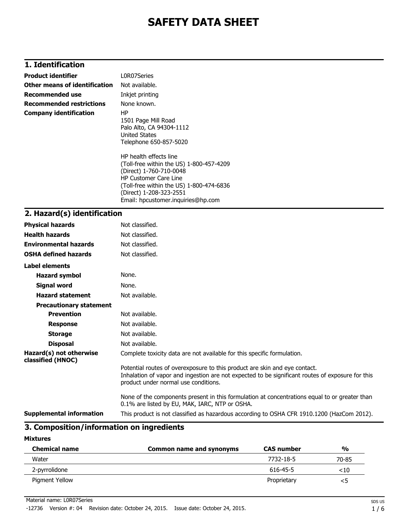# **1. Identification**

| <b>Product identifier</b>       | L0R07Series                                                                                                                                                                                                                                                                                                                                     |
|---------------------------------|-------------------------------------------------------------------------------------------------------------------------------------------------------------------------------------------------------------------------------------------------------------------------------------------------------------------------------------------------|
| Other means of identification   | Not available.                                                                                                                                                                                                                                                                                                                                  |
| <b>Recommended use</b>          | Inkjet printing                                                                                                                                                                                                                                                                                                                                 |
| <b>Recommended restrictions</b> | None known.                                                                                                                                                                                                                                                                                                                                     |
| <b>Company identification</b>   | HP.<br>1501 Page Mill Road<br>Palo Alto, CA 94304-1112<br>United States<br>Telephone 650-857-5020<br>HP health effects line<br>(Toll-free within the US) 1-800-457-4209<br>(Direct) 1-760-710-0048<br><b>HP Customer Care Line</b><br>(Toll-free within the US) 1-800-474-6836<br>(Direct) 1-208-323-2551<br>Email: hpcustomer.inquiries@hp.com |
|                                 |                                                                                                                                                                                                                                                                                                                                                 |

## **2. Hazard(s) identification**

| <b>Physical hazards</b>                      | Not classified.                                                                                                                                                                                                        |
|----------------------------------------------|------------------------------------------------------------------------------------------------------------------------------------------------------------------------------------------------------------------------|
| <b>Health hazards</b>                        | Not classified.                                                                                                                                                                                                        |
| <b>Environmental hazards</b>                 | Not classified.                                                                                                                                                                                                        |
| <b>OSHA defined hazards</b>                  | Not classified.                                                                                                                                                                                                        |
| Label elements                               |                                                                                                                                                                                                                        |
| Hazard symbol                                | None.                                                                                                                                                                                                                  |
| Signal word                                  | None.                                                                                                                                                                                                                  |
| <b>Hazard statement</b>                      | Not available.                                                                                                                                                                                                         |
| <b>Precautionary statement</b>               |                                                                                                                                                                                                                        |
| <b>Prevention</b>                            | Not available.                                                                                                                                                                                                         |
| <b>Response</b>                              | Not available.                                                                                                                                                                                                         |
| <b>Storage</b>                               | Not available.                                                                                                                                                                                                         |
| <b>Disposal</b>                              | Not available.                                                                                                                                                                                                         |
| Hazard(s) not otherwise<br>classified (HNOC) | Complete toxicity data are not available for this specific formulation.                                                                                                                                                |
|                                              | Potential routes of overexposure to this product are skin and eye contact.<br>Inhalation of vapor and ingestion are not expected to be significant routes of exposure for this<br>product under normal use conditions. |
|                                              | None of the components present in this formulation at concentrations equal to or greater than<br>0.1% are listed by EU, MAK, IARC, NTP or OSHA.                                                                        |
| <b>Supplemental information</b>              | This product is not classified as hazardous according to OSHA CFR 1910.1200 (HazCom 2012).                                                                                                                             |

## **3. Composition/information on ingredients**

#### **Mixtures**

| <b>Chemical name</b> | Common name and synonyms | <b>CAS number</b> | $\frac{0}{0}$ |
|----------------------|--------------------------|-------------------|---------------|
| Water                |                          | 7732-18-5         | 70-85         |
| 2-pyrrolidone        |                          | 616-45-5          | ${<}10$       |
| Pigment Yellow       |                          | Proprietary       |               |

Material name: L0R07Series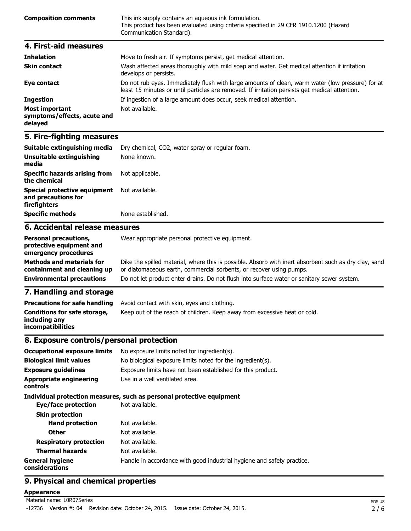| <b>Composition comments</b> | This ink supply contains an aqueous ink formulation.<br>This product has been evaluated using criteria specified in 29 CFR 1910.1200 (Hazard<br>Communication Standard). |
|-----------------------------|--------------------------------------------------------------------------------------------------------------------------------------------------------------------------|
| 4. First-aid measures       |                                                                                                                                                                          |
| <b>Teleslation</b>          | Mouse to froch air. If symptoms norsist, not modical attention                                                                                                           |

| <b>Innaiation</b>                                               | <u>MOVE to fresh air. It symptoms persist, get medical attention.</u>                                                                                                                              |
|-----------------------------------------------------------------|----------------------------------------------------------------------------------------------------------------------------------------------------------------------------------------------------|
| <b>Skin contact</b>                                             | Wash affected areas thoroughly with mild soap and water. Get medical attention if irritation<br>develops or persists.                                                                              |
| Eye contact                                                     | Do not rub eyes. Immediately flush with large amounts of clean, warm water (low pressure) for at<br>least 15 minutes or until particles are removed. If irritation persists get medical attention. |
| <b>Ingestion</b>                                                | If ingestion of a large amount does occur, seek medical attention.                                                                                                                                 |
| <b>Most important</b><br>symptoms/effects, acute and<br>delayed | Not available.                                                                                                                                                                                     |

| Suitable extinguishing media                                        | Dry chemical, CO2, water spray or regular foam.      |  |  |
|---------------------------------------------------------------------|------------------------------------------------------|--|--|
| Unsuitable extinguishing<br>media                                   | None known.                                          |  |  |
| <b>Specific hazards arising from</b><br>the chemical                | Not applicable.                                      |  |  |
| Special protective equipment<br>and precautions for<br>firefighters | Not available.                                       |  |  |
| <b>Specific methods</b>                                             | None established.                                    |  |  |
| 6. Accidental release measures                                      |                                                      |  |  |
| Benessel mosesublema                                                | Allega gaananahata managarat musta stirin gardamaant |  |  |

| <b>Personal precautions,</b><br>protective equipment and<br>emergency procedures | Wear appropriate personal protective equipment.                                                                                                                              |
|----------------------------------------------------------------------------------|------------------------------------------------------------------------------------------------------------------------------------------------------------------------------|
| <b>Methods and materials for</b><br>containment and cleaning up                  | Dike the spilled material, where this is possible. Absorb with inert absorbent such as dry clay, sand<br>or diatomaceous earth, commercial sorbents, or recover using pumps. |
| <b>Environmental precautions</b>                                                 | Do not let product enter drains. Do not flush into surface water or sanitary sewer system.                                                                                   |
| the contract of the contract of the contract of the                              |                                                                                                                                                                              |

### **7. Handling and storage**

| <b>Precautions for safe handling</b>                                      | Avoid contact with skin, eyes and clothing.                               |
|---------------------------------------------------------------------------|---------------------------------------------------------------------------|
| Conditions for safe storage,<br>including any<br><i>incompatibilities</i> | Keep out of the reach of children. Keep away from excessive heat or cold. |

# **8. Exposure controls/personal protection**

| <b>Occupational exposure limits</b>        | No exposure limits noted for ingredient(s).                            |  |  |
|--------------------------------------------|------------------------------------------------------------------------|--|--|
| <b>Biological limit values</b>             | No biological exposure limits noted for the ingredient(s).             |  |  |
| <b>Exposure guidelines</b>                 | Exposure limits have not been established for this product.            |  |  |
| <b>Appropriate engineering</b><br>controls | Use in a well ventilated area.                                         |  |  |
|                                            | Individual protection measures, such as personal protective equipment  |  |  |
| Eye/face protection                        | Not available.                                                         |  |  |
| <b>Skin protection</b>                     |                                                                        |  |  |
| <b>Hand protection</b>                     | Not available.                                                         |  |  |
| <b>Other</b>                               | Not available.                                                         |  |  |
| <b>Respiratory protection</b>              | Not available.                                                         |  |  |
| <b>Thermal hazards</b>                     | Not available.                                                         |  |  |
| <b>General hygiene</b><br>considerations   | Handle in accordance with good industrial hygiene and safety practice. |  |  |

# **9. Physical and chemical properties**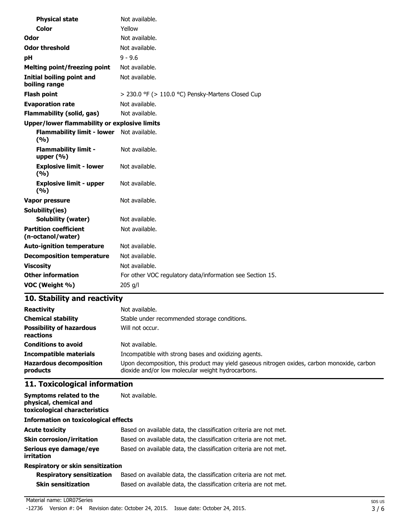| <b>Physical state</b>                               | Not available.                                            |
|-----------------------------------------------------|-----------------------------------------------------------|
| <b>Color</b>                                        | Yellow                                                    |
| Odor                                                | Not available.                                            |
| <b>Odor threshold</b>                               | Not available.                                            |
| рH                                                  | $9 - 9.6$                                                 |
| <b>Melting point/freezing point</b>                 | Not available.                                            |
| <b>Initial boiling point and</b><br>boiling range   | Not available.                                            |
| <b>Flash point</b>                                  | $>$ 230.0 °F ( $>$ 110.0 °C) Pensky-Martens Closed Cup    |
| <b>Evaporation rate</b>                             | Not available.                                            |
| <b>Flammability (solid, gas)</b>                    | Not available.                                            |
| <b>Upper/lower flammability or explosive limits</b> |                                                           |
| <b>Flammability limit - lower</b><br>(%)            | Not available.                                            |
| <b>Flammability limit -</b><br>upper $(% )$         | Not available.                                            |
| <b>Explosive limit - lower</b><br>(%)               | Not available.                                            |
| <b>Explosive limit - upper</b><br>(9/6)             | Not available.                                            |
| Vapor pressure                                      | Not available.                                            |
| Solubility(ies)                                     |                                                           |
| <b>Solubility (water)</b>                           | Not available.                                            |
| <b>Partition coefficient</b><br>(n-octanol/water)   | Not available.                                            |
| <b>Auto-ignition temperature</b>                    | Not available.                                            |
| <b>Decomposition temperature</b>                    | Not available.                                            |
| <b>Viscosity</b>                                    | Not available.                                            |
| <b>Other information</b>                            | For other VOC regulatory data/information see Section 15. |
| VOC (Weight %)                                      | 205 g/l                                                   |

| <b>Reactivity</b>                            | Not available.                                                                                                                                   |  |  |
|----------------------------------------------|--------------------------------------------------------------------------------------------------------------------------------------------------|--|--|
| <b>Chemical stability</b>                    | Stable under recommended storage conditions.                                                                                                     |  |  |
| <b>Possibility of hazardous</b><br>reactions | Will not occur.                                                                                                                                  |  |  |
| <b>Conditions to avoid</b>                   | Not available.                                                                                                                                   |  |  |
| <b>Incompatible materials</b>                | Incompatible with strong bases and oxidizing agents.                                                                                             |  |  |
| <b>Hazardous decomposition</b><br>products   | Upon decomposition, this product may yield gaseous nitrogen oxides, carbon monoxide, carbon<br>dioxide and/or low molecular weight hydrocarbons. |  |  |

# **11. Toxicological information**

| Symptoms related to the<br>physical, chemical and<br>toxicological characteristics | Not available.                                                    |  |  |
|------------------------------------------------------------------------------------|-------------------------------------------------------------------|--|--|
| <b>Information on toxicological effects</b>                                        |                                                                   |  |  |
| <b>Acute toxicity</b>                                                              | Based on available data, the classification criteria are not met. |  |  |
| <b>Skin corrosion/irritation</b>                                                   | Based on available data, the classification criteria are not met. |  |  |
| Serious eye damage/eye<br>irritation                                               | Based on available data, the classification criteria are not met. |  |  |
| <b>Respiratory or skin sensitization</b>                                           |                                                                   |  |  |

| <b>Respiratory sensitization</b> | Based on available data, the classification criteria are not met. |
|----------------------------------|-------------------------------------------------------------------|
| <b>Skin sensitization</b>        | Based on available data, the classification criteria are not met. |

#### Material name: L0R07Series

-12736 Version #: 04 Revision date: October 24, 2015. Issue date: October 24, 2015.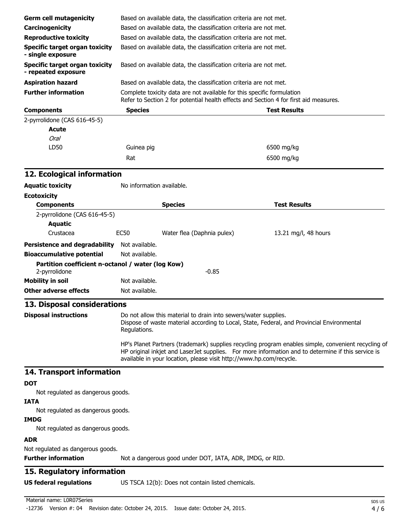| <b>Germ cell mutagenicity</b>                                                                                                                                                                                                                                                    | Based on available data, the classification criteria are not met.                                                                                                             |                                                                   |                      |  |
|----------------------------------------------------------------------------------------------------------------------------------------------------------------------------------------------------------------------------------------------------------------------------------|-------------------------------------------------------------------------------------------------------------------------------------------------------------------------------|-------------------------------------------------------------------|----------------------|--|
| Carcinogenicity                                                                                                                                                                                                                                                                  | Based on available data, the classification criteria are not met.                                                                                                             |                                                                   |                      |  |
| <b>Reproductive toxicity</b>                                                                                                                                                                                                                                                     | Based on available data, the classification criteria are not met.                                                                                                             |                                                                   |                      |  |
| <b>Specific target organ toxicity</b>                                                                                                                                                                                                                                            | Based on available data, the classification criteria are not met.<br>Based on available data, the classification criteria are not met.                                        |                                                                   |                      |  |
| - single exposure<br><b>Specific target organ toxicity</b>                                                                                                                                                                                                                       |                                                                                                                                                                               |                                                                   |                      |  |
| - repeated exposure                                                                                                                                                                                                                                                              |                                                                                                                                                                               |                                                                   |                      |  |
| <b>Aspiration hazard</b>                                                                                                                                                                                                                                                         |                                                                                                                                                                               | Based on available data, the classification criteria are not met. |                      |  |
| <b>Further information</b>                                                                                                                                                                                                                                                       | Complete toxicity data are not available for this specific formulation<br>Refer to Section 2 for potential health effects and Section 4 for first aid measures.               |                                                                   |                      |  |
| <b>Components</b>                                                                                                                                                                                                                                                                | <b>Species</b>                                                                                                                                                                |                                                                   | <b>Test Results</b>  |  |
| 2-pyrrolidone (CAS 616-45-5)                                                                                                                                                                                                                                                     |                                                                                                                                                                               |                                                                   |                      |  |
| <b>Acute</b>                                                                                                                                                                                                                                                                     |                                                                                                                                                                               |                                                                   |                      |  |
| <b>Oral</b>                                                                                                                                                                                                                                                                      |                                                                                                                                                                               |                                                                   |                      |  |
| LD50                                                                                                                                                                                                                                                                             | Guinea pig                                                                                                                                                                    |                                                                   | 6500 mg/kg           |  |
|                                                                                                                                                                                                                                                                                  | Rat                                                                                                                                                                           |                                                                   | 6500 mg/kg           |  |
| 12. Ecological information                                                                                                                                                                                                                                                       |                                                                                                                                                                               |                                                                   |                      |  |
| <b>Aquatic toxicity</b>                                                                                                                                                                                                                                                          | No information available.                                                                                                                                                     |                                                                   |                      |  |
| <b>Ecotoxicity</b>                                                                                                                                                                                                                                                               |                                                                                                                                                                               |                                                                   |                      |  |
| <b>Components</b>                                                                                                                                                                                                                                                                |                                                                                                                                                                               | <b>Species</b>                                                    | <b>Test Results</b>  |  |
| 2-pyrrolidone (CAS 616-45-5)                                                                                                                                                                                                                                                     |                                                                                                                                                                               |                                                                   |                      |  |
| <b>Aquatic</b>                                                                                                                                                                                                                                                                   |                                                                                                                                                                               |                                                                   |                      |  |
| Crustacea                                                                                                                                                                                                                                                                        | <b>EC50</b>                                                                                                                                                                   | Water flea (Daphnia pulex)                                        | 13.21 mg/l, 48 hours |  |
| Persistence and degradability Not available.                                                                                                                                                                                                                                     |                                                                                                                                                                               |                                                                   |                      |  |
| <b>Bioaccumulative potential</b>                                                                                                                                                                                                                                                 | Not available.                                                                                                                                                                |                                                                   |                      |  |
| Partition coefficient n-octanol / water (log Kow)<br>2-pyrrolidone                                                                                                                                                                                                               |                                                                                                                                                                               | $-0.85$                                                           |                      |  |
| <b>Mobility in soil</b>                                                                                                                                                                                                                                                          | Not available.                                                                                                                                                                |                                                                   |                      |  |
| <b>Other adverse effects</b>                                                                                                                                                                                                                                                     | Not available.                                                                                                                                                                |                                                                   |                      |  |
| 13. Disposal considerations                                                                                                                                                                                                                                                      |                                                                                                                                                                               |                                                                   |                      |  |
| <b>Disposal instructions</b>                                                                                                                                                                                                                                                     | Do not allow this material to drain into sewers/water supplies.<br>Dispose of waste material according to Local, State, Federal, and Provincial Environmental<br>Regulations. |                                                                   |                      |  |
| HP's Planet Partners (trademark) supplies recycling program enables simple, convenient recycling of<br>HP original inkjet and LaserJet supplies. For more information and to determine if this service is<br>available in your location, please visit http://www.hp.com/recycle. |                                                                                                                                                                               |                                                                   |                      |  |
| 14. Transport information                                                                                                                                                                                                                                                        |                                                                                                                                                                               |                                                                   |                      |  |
| <b>DOT</b>                                                                                                                                                                                                                                                                       |                                                                                                                                                                               |                                                                   |                      |  |
| Not regulated as dangerous goods.                                                                                                                                                                                                                                                |                                                                                                                                                                               |                                                                   |                      |  |
| <b>IATA</b><br>Not regulated as dangerous goods.                                                                                                                                                                                                                                 |                                                                                                                                                                               |                                                                   |                      |  |
| <b>IMDG</b>                                                                                                                                                                                                                                                                      |                                                                                                                                                                               |                                                                   |                      |  |
| Not regulated as dangerous goods.<br><b>ADR</b>                                                                                                                                                                                                                                  |                                                                                                                                                                               |                                                                   |                      |  |
| Not regulated as dangerous goods.                                                                                                                                                                                                                                                |                                                                                                                                                                               |                                                                   |                      |  |
| <b>Further information</b>                                                                                                                                                                                                                                                       | Not a dangerous good under DOT, IATA, ADR, IMDG, or RID.                                                                                                                      |                                                                   |                      |  |
| 15. Regulatory information                                                                                                                                                                                                                                                       |                                                                                                                                                                               |                                                                   |                      |  |
| <b>US federal regulations</b>                                                                                                                                                                                                                                                    |                                                                                                                                                                               | US TSCA 12(b): Does not contain listed chemicals.                 |                      |  |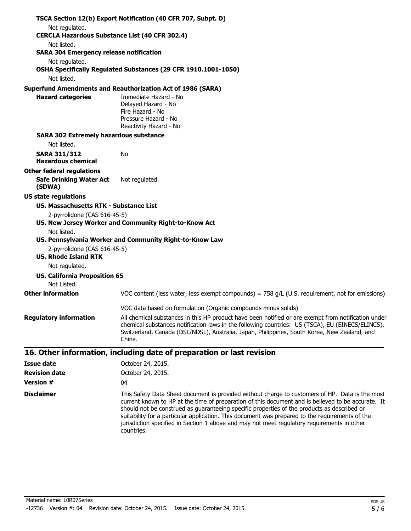|                                                                         | TSCA Section 12(b) Export Notification (40 CFR 707, Subpt. D)                                                                                                                                                                                                                                                     |
|-------------------------------------------------------------------------|-------------------------------------------------------------------------------------------------------------------------------------------------------------------------------------------------------------------------------------------------------------------------------------------------------------------|
| Not regulated.<br><b>CERCLA Hazardous Substance List (40 CFR 302.4)</b> |                                                                                                                                                                                                                                                                                                                   |
| Not listed.                                                             |                                                                                                                                                                                                                                                                                                                   |
| <b>SARA 304 Emergency release notification</b>                          |                                                                                                                                                                                                                                                                                                                   |
| Not regulated.                                                          |                                                                                                                                                                                                                                                                                                                   |
|                                                                         | OSHA Specifically Regulated Substances (29 CFR 1910.1001-1050)                                                                                                                                                                                                                                                    |
| Not listed.                                                             |                                                                                                                                                                                                                                                                                                                   |
|                                                                         | <b>Superfund Amendments and Reauthorization Act of 1986 (SARA)</b>                                                                                                                                                                                                                                                |
| <b>Hazard categories</b>                                                | Immediate Hazard - No                                                                                                                                                                                                                                                                                             |
|                                                                         | Delayed Hazard - No<br>Fire Hazard - No                                                                                                                                                                                                                                                                           |
|                                                                         | Pressure Hazard - No                                                                                                                                                                                                                                                                                              |
|                                                                         | Reactivity Hazard - No                                                                                                                                                                                                                                                                                            |
| <b>SARA 302 Extremely hazardous substance</b>                           |                                                                                                                                                                                                                                                                                                                   |
| Not listed.                                                             |                                                                                                                                                                                                                                                                                                                   |
| <b>SARA 311/312</b><br><b>Hazardous chemical</b>                        | No                                                                                                                                                                                                                                                                                                                |
| <b>Other federal regulations</b>                                        |                                                                                                                                                                                                                                                                                                                   |
| <b>Safe Drinking Water Act</b><br>(SDWA)                                | Not regulated.                                                                                                                                                                                                                                                                                                    |
| <b>US state regulations</b>                                             |                                                                                                                                                                                                                                                                                                                   |
| US. Massachusetts RTK - Substance List                                  |                                                                                                                                                                                                                                                                                                                   |
| 2-pyrrolidone (CAS 616-45-5)                                            | US. New Jersey Worker and Community Right-to-Know Act                                                                                                                                                                                                                                                             |
| Not listed.                                                             |                                                                                                                                                                                                                                                                                                                   |
|                                                                         | US. Pennsylvania Worker and Community Right-to-Know Law                                                                                                                                                                                                                                                           |
| 2-pyrrolidone (CAS 616-45-5)<br><b>US. Rhode Island RTK</b>             |                                                                                                                                                                                                                                                                                                                   |
| Not regulated.                                                          |                                                                                                                                                                                                                                                                                                                   |
| <b>US. California Proposition 65</b><br>Not Listed.                     |                                                                                                                                                                                                                                                                                                                   |
| <b>Other information</b>                                                | VOC content (less water, less exempt compounds) = $758$ g/L (U.S. requirement, not for emissions)                                                                                                                                                                                                                 |
|                                                                         | VOC data based on formulation (Organic compounds minus solids)                                                                                                                                                                                                                                                    |
| <b>Regulatory information</b>                                           | All chemical substances in this HP product have been notified or are exempt from notification under<br>chemical substances notification laws in the following countries: US (TSCA), EU (EINECS/ELINCS),<br>Switzerland, Canada (DSL/NDSL), Australia, Japan, Philippines, South Korea, New Zealand, and<br>China. |
|                                                                         | 16. Other information, including date of preparation or last revision                                                                                                                                                                                                                                             |
| <b>Issue date</b>                                                       | October 24, 2015.                                                                                                                                                                                                                                                                                                 |
| <b>Revision date</b>                                                    | October 24, 2015.                                                                                                                                                                                                                                                                                                 |
| <b>Version #</b>                                                        | 04                                                                                                                                                                                                                                                                                                                |
| <b>Disclaimer</b>                                                       | This Safety Data Sheet document is provided without charge to customers of HP. Data is the most                                                                                                                                                                                                                   |

current known to HP at the time of preparation of this document and is believed to be accurate. It should not be construed as guaranteeing specific properties of the products as described or suitability for a particular application. This document was prepared to the requirements of the jurisdiction specified in Section 1 above and may not meet regulatory requirements in other

Material name: L0R07Series -12736 Version #: 04 Revision date: October 24, 2015. Issue date: October 24, 2015.

countries.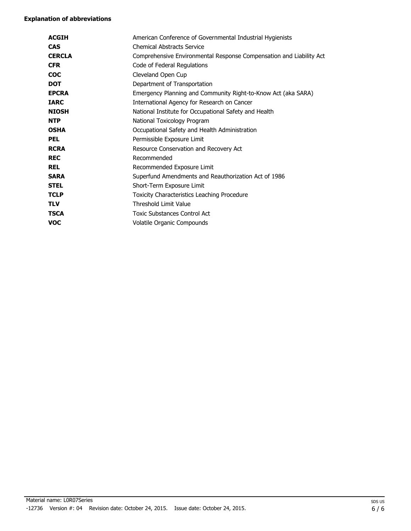| <b>ACGIH</b>  | American Conference of Governmental Industrial Hygienists           |
|---------------|---------------------------------------------------------------------|
| <b>CAS</b>    | <b>Chemical Abstracts Service</b>                                   |
| <b>CERCLA</b> | Comprehensive Environmental Response Compensation and Liability Act |
| <b>CFR</b>    | Code of Federal Regulations                                         |
| <b>COC</b>    | Cleveland Open Cup                                                  |
| <b>DOT</b>    | Department of Transportation                                        |
| <b>EPCRA</b>  | Emergency Planning and Community Right-to-Know Act (aka SARA)       |
| <b>IARC</b>   | International Agency for Research on Cancer                         |
| <b>NIOSH</b>  | National Institute for Occupational Safety and Health               |
| <b>NTP</b>    | National Toxicology Program                                         |
| <b>OSHA</b>   | Occupational Safety and Health Administration                       |
| <b>PEL</b>    | Permissible Exposure Limit                                          |
| <b>RCRA</b>   | Resource Conservation and Recovery Act                              |
| <b>REC</b>    | Recommended                                                         |
| <b>REL</b>    | Recommended Exposure Limit                                          |
| <b>SARA</b>   | Superfund Amendments and Reauthorization Act of 1986                |
| <b>STEL</b>   | Short-Term Exposure Limit                                           |
| <b>TCLP</b>   | Toxicity Characteristics Leaching Procedure                         |
| <b>TLV</b>    | Threshold Limit Value                                               |
| <b>TSCA</b>   | <b>Toxic Substances Control Act</b>                                 |
| <b>VOC</b>    | Volatile Organic Compounds                                          |
|               |                                                                     |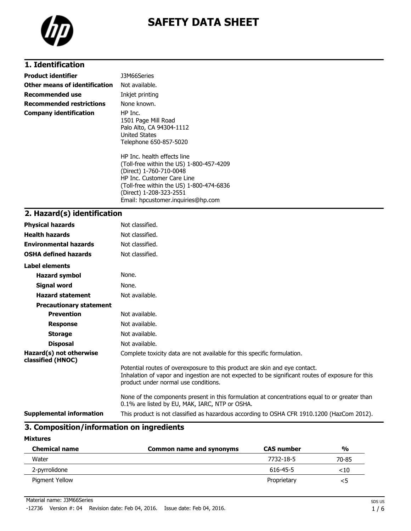

# **1. Identification**

| <b>Product identifier</b>     | J3M66Series                                                                                                                                                                                                                                   |
|-------------------------------|-----------------------------------------------------------------------------------------------------------------------------------------------------------------------------------------------------------------------------------------------|
| Other means of identification | Not available.                                                                                                                                                                                                                                |
| Recommended use               | Inkjet printing                                                                                                                                                                                                                               |
| Recommended restrictions      | None known.                                                                                                                                                                                                                                   |
| <b>Company identification</b> | HP Inc.<br>1501 Page Mill Road<br>Palo Alto, CA 94304-1112<br>United States<br>Telephone 650-857-5020                                                                                                                                         |
|                               | HP Inc. health effects line<br>(Toll-free within the US) 1-800-457-4209<br>(Direct) 1-760-710-0048<br>HP Inc. Customer Care Line<br>(Toll-free within the US) 1-800-474-6836<br>(Direct) 1-208-323-2551<br>Email: hpcustomer.inguiries@hp.com |

### **2. Hazard(s) identification**

| <b>Physical hazards</b>                      | Not classified.                                                                                                                                                                                                        |
|----------------------------------------------|------------------------------------------------------------------------------------------------------------------------------------------------------------------------------------------------------------------------|
| <b>Health hazards</b>                        | Not classified.                                                                                                                                                                                                        |
| <b>Environmental hazards</b>                 | Not classified.                                                                                                                                                                                                        |
| <b>OSHA defined hazards</b>                  | Not classified.                                                                                                                                                                                                        |
| Label elements                               |                                                                                                                                                                                                                        |
| <b>Hazard symbol</b>                         | None.                                                                                                                                                                                                                  |
| <b>Signal word</b>                           | None.                                                                                                                                                                                                                  |
| <b>Hazard statement</b>                      | Not available.                                                                                                                                                                                                         |
| <b>Precautionary statement</b>               |                                                                                                                                                                                                                        |
| <b>Prevention</b>                            | Not available.                                                                                                                                                                                                         |
| <b>Response</b>                              | Not available.                                                                                                                                                                                                         |
| <b>Storage</b>                               | Not available.                                                                                                                                                                                                         |
| <b>Disposal</b>                              | Not available.                                                                                                                                                                                                         |
| Hazard(s) not otherwise<br>classified (HNOC) | Complete toxicity data are not available for this specific formulation.                                                                                                                                                |
|                                              | Potential routes of overexposure to this product are skin and eye contact.<br>Inhalation of vapor and ingestion are not expected to be significant routes of exposure for this<br>product under normal use conditions. |
|                                              | None of the components present in this formulation at concentrations equal to or greater than<br>0.1% are listed by EU, MAK, IARC, NTP or OSHA.                                                                        |
| <b>Supplemental information</b>              | This product is not classified as hazardous according to OSHA CFR 1910.1200 (HazCom 2012).                                                                                                                             |

# **3. Composition/information on ingredients**

#### **Mixtures**

| <b>Chemical name</b> | Common name and synonyms | <b>CAS number</b> | $\frac{1}{2}$ |
|----------------------|--------------------------|-------------------|---------------|
| Water                |                          | 7732-18-5         | 70-85         |
| 2-pyrrolidone        |                          | 616-45-5          | ${<}10$       |
| Pigment Yellow       |                          | Proprietary       |               |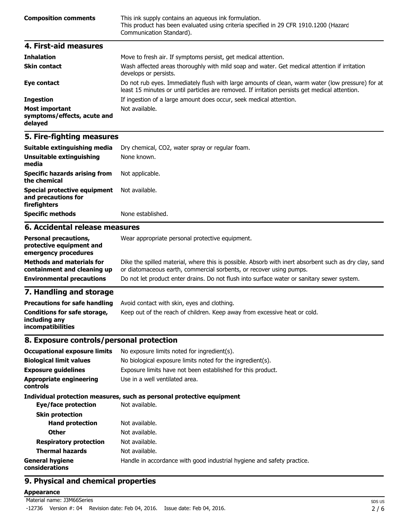| <b>Composition comments</b> | This ink supply contains an aqueous ink formulation.<br>This product has been evaluated using criteria specified in 29 CFR 1910.1200 (Hazard<br>Communication Standard). |
|-----------------------------|--------------------------------------------------------------------------------------------------------------------------------------------------------------------------|
| 4. First-aid measures       |                                                                                                                                                                          |
| <b>Inhalation</b>           | Move to fresh air. If symptoms persist not medical attention                                                                                                             |

| THIRRUPII                                                       | <u>riove to fresh all. It symptoms persist, get medical attention.</u>                                                                                                                             |
|-----------------------------------------------------------------|----------------------------------------------------------------------------------------------------------------------------------------------------------------------------------------------------|
| <b>Skin contact</b>                                             | Wash affected areas thoroughly with mild soap and water. Get medical attention if irritation<br>develops or persists.                                                                              |
| Eye contact                                                     | Do not rub eyes. Immediately flush with large amounts of clean, warm water (low pressure) for at<br>least 15 minutes or until particles are removed. If irritation persists get medical attention. |
| <b>Ingestion</b>                                                | If ingestion of a large amount does occur, seek medical attention.                                                                                                                                 |
| <b>Most important</b><br>symptoms/effects, acute and<br>delayed | Not available.                                                                                                                                                                                     |

| Suitable extinguishing media                                               | Dry chemical, CO2, water spray or regular foam. |
|----------------------------------------------------------------------------|-------------------------------------------------|
| Unsuitable extinguishing<br>media                                          | None known.                                     |
| <b>Specific hazards arising from</b><br>the chemical                       | Not applicable.                                 |
| <b>Special protective equipment</b><br>and precautions for<br>firefighters | Not available.                                  |
| <b>Specific methods</b>                                                    | None established.                               |
| 6. Accidental release measures                                             |                                                 |
|                                                                            |                                                 |

#### **Personal precautions, protective equipment and emergency procedures** Wear appropriate personal protective equipment. **Methods and materials for** Dike the spilled material, where this is possible. Absorb with inert absorbent such as dry clay, sand

| וטו כווסווטש מווע ווומנכו ומוט וטו | Dike the spilled material, where this is possible. Absorb with mert absorbent such as thy clay, sand   |
|------------------------------------|--------------------------------------------------------------------------------------------------------|
|                                    | <b>containment and cleaning up</b> or diatomaceous earth, commercial sorbents, or recover using pumps. |
| <b>Environmental precautions</b>   | Do not let product enter drains. Do not flush into surface water or sanitary sewer system.             |

# **7. Handling and storage**

| <b>Precautions for safe handling</b>                                      | Avoid contact with skin, eyes and clothing.                               |
|---------------------------------------------------------------------------|---------------------------------------------------------------------------|
| Conditions for safe storage,<br>including anv<br><b>incompatibilities</b> | Keep out of the reach of children. Keep away from excessive heat or cold. |

### **8. Exposure controls/personal protection**

| <b>Occupational exposure limits</b>        | No exposure limits noted for ingredient(s).                            |  |
|--------------------------------------------|------------------------------------------------------------------------|--|
| <b>Biological limit values</b>             | No biological exposure limits noted for the ingredient(s).             |  |
| <b>Exposure quidelines</b>                 | Exposure limits have not been established for this product.            |  |
| <b>Appropriate engineering</b><br>controls | Use in a well ventilated area.                                         |  |
|                                            | Individual protection measures, such as personal protective equipment  |  |
| Eye/face protection                        | Not available.                                                         |  |
| <b>Skin protection</b>                     |                                                                        |  |
| <b>Hand protection</b>                     | Not available.                                                         |  |
| <b>Other</b>                               | Not available.                                                         |  |
| <b>Respiratory protection</b>              | Not available.                                                         |  |
| <b>Thermal hazards</b>                     | Not available.                                                         |  |
| <b>General hygiene</b><br>considerations   | Handle in accordance with good industrial hygiene and safety practice. |  |

# **9. Physical and chemical properties**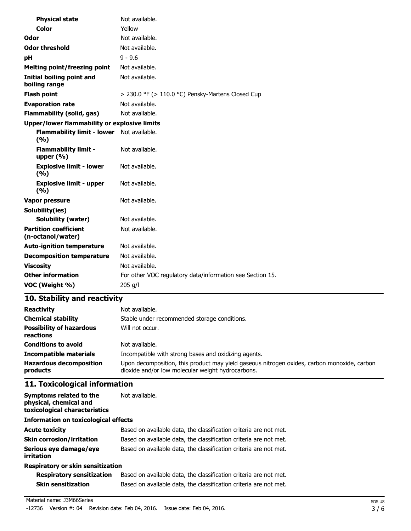| <b>Physical state</b>                               | Not available.                                            |
|-----------------------------------------------------|-----------------------------------------------------------|
| Color                                               | Yellow                                                    |
| Odor                                                | Not available.                                            |
| <b>Odor threshold</b>                               | Not available.                                            |
| рH                                                  | $9 - 9.6$                                                 |
| <b>Melting point/freezing point</b>                 | Not available.                                            |
| Initial boiling point and<br>boiling range          | Not available.                                            |
| <b>Flash point</b>                                  | > 230.0 °F (> 110.0 °C) Pensky-Martens Closed Cup         |
| <b>Evaporation rate</b>                             | Not available.                                            |
| <b>Flammability (solid, gas)</b>                    | Not available.                                            |
| <b>Upper/lower flammability or explosive limits</b> |                                                           |
| <b>Flammability limit - lower</b><br>(%)            | Not available.                                            |
| <b>Flammability limit -</b><br>upper $(% )$         | Not available.                                            |
| <b>Explosive limit - lower</b><br>(%)               | Not available.                                            |
| <b>Explosive limit - upper</b><br>(%)               | Not available.                                            |
| Vapor pressure                                      | Not available.                                            |
| Solubility(ies)                                     |                                                           |
| <b>Solubility (water)</b>                           | Not available.                                            |
| <b>Partition coefficient</b><br>(n-octanol/water)   | Not available.                                            |
| <b>Auto-ignition temperature</b>                    | Not available.                                            |
| <b>Decomposition temperature</b>                    | Not available.                                            |
| <b>Viscosity</b>                                    | Not available.                                            |
| <b>Other information</b>                            | For other VOC regulatory data/information see Section 15. |
| VOC (Weight %)                                      | 205 g/l                                                   |

| <b>Reactivity</b>                            | Not available.                                                                                                                                   |
|----------------------------------------------|--------------------------------------------------------------------------------------------------------------------------------------------------|
| <b>Chemical stability</b>                    | Stable under recommended storage conditions.                                                                                                     |
| <b>Possibility of hazardous</b><br>reactions | Will not occur.                                                                                                                                  |
| <b>Conditions to avoid</b>                   | Not available.                                                                                                                                   |
| <b>Incompatible materials</b>                | Incompatible with strong bases and oxidizing agents.                                                                                             |
| <b>Hazardous decomposition</b><br>products   | Upon decomposition, this product may yield gaseous nitrogen oxides, carbon monoxide, carbon<br>dioxide and/or low molecular weight hydrocarbons. |

# **11. Toxicological information**

| Symptoms related to the<br>physical, chemical and<br>toxicological characteristics | Not available.                                                    |  |
|------------------------------------------------------------------------------------|-------------------------------------------------------------------|--|
| <b>Information on toxicological effects</b>                                        |                                                                   |  |
| <b>Acute toxicity</b>                                                              | Based on available data, the classification criteria are not met. |  |
| <b>Skin corrosion/irritation</b>                                                   | Based on available data, the classification criteria are not met. |  |
| Serious eye damage/eye<br>irritation                                               | Based on available data, the classification criteria are not met. |  |
| Respiratory or skin sensitization                                                  |                                                                   |  |

| <b>Respiratory sensitization</b> | Based on available data, the classification criteria are not met. |
|----------------------------------|-------------------------------------------------------------------|
| Skin sensitization               | Based on available data, the classification criteria are not met. |

-12736 Version #: 04 Revision date: Feb 04, 2016. Issue date: Feb 04, 2016.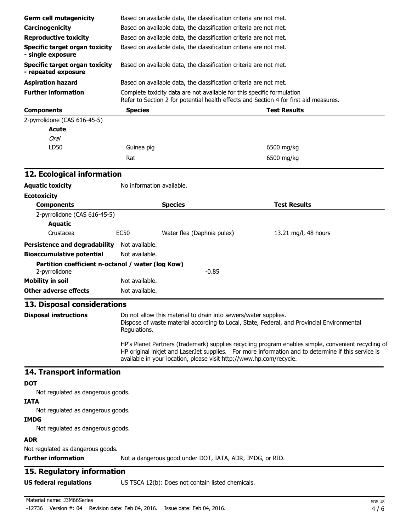| <b>Germ cell mutagenicity</b>                                |                                                                                                                                                                                                                                                                                  | Based on available data, the classification criteria are not met. |                      |  |  |
|--------------------------------------------------------------|----------------------------------------------------------------------------------------------------------------------------------------------------------------------------------------------------------------------------------------------------------------------------------|-------------------------------------------------------------------|----------------------|--|--|
| Carcinogenicity                                              |                                                                                                                                                                                                                                                                                  | Based on available data, the classification criteria are not met. |                      |  |  |
| <b>Reproductive toxicity</b>                                 | Based on available data, the classification criteria are not met.                                                                                                                                                                                                                |                                                                   |                      |  |  |
| <b>Specific target organ toxicity</b>                        |                                                                                                                                                                                                                                                                                  | Based on available data, the classification criteria are not met. |                      |  |  |
| - single exposure                                            |                                                                                                                                                                                                                                                                                  |                                                                   |                      |  |  |
| <b>Specific target organ toxicity</b><br>- repeated exposure | Based on available data, the classification criteria are not met.                                                                                                                                                                                                                |                                                                   |                      |  |  |
| <b>Aspiration hazard</b>                                     |                                                                                                                                                                                                                                                                                  | Based on available data, the classification criteria are not met. |                      |  |  |
| <b>Further information</b>                                   | Complete toxicity data are not available for this specific formulation<br>Refer to Section 2 for potential health effects and Section 4 for first aid measures.                                                                                                                  |                                                                   |                      |  |  |
| <b>Components</b>                                            | <b>Species</b>                                                                                                                                                                                                                                                                   |                                                                   | <b>Test Results</b>  |  |  |
| 2-pyrrolidone (CAS 616-45-5)                                 |                                                                                                                                                                                                                                                                                  |                                                                   |                      |  |  |
| <b>Acute</b>                                                 |                                                                                                                                                                                                                                                                                  |                                                                   |                      |  |  |
| <b>Oral</b>                                                  |                                                                                                                                                                                                                                                                                  |                                                                   |                      |  |  |
| LD50                                                         | Guinea pig                                                                                                                                                                                                                                                                       |                                                                   | 6500 mg/kg           |  |  |
|                                                              | Rat                                                                                                                                                                                                                                                                              |                                                                   | 6500 mg/kg           |  |  |
| 12. Ecological information                                   |                                                                                                                                                                                                                                                                                  |                                                                   |                      |  |  |
| <b>Aquatic toxicity</b>                                      | No information available.                                                                                                                                                                                                                                                        |                                                                   |                      |  |  |
| <b>Ecotoxicity</b>                                           |                                                                                                                                                                                                                                                                                  |                                                                   |                      |  |  |
| <b>Components</b>                                            |                                                                                                                                                                                                                                                                                  | <b>Species</b>                                                    | <b>Test Results</b>  |  |  |
| 2-pyrrolidone (CAS 616-45-5)                                 |                                                                                                                                                                                                                                                                                  |                                                                   |                      |  |  |
| <b>Aquatic</b>                                               |                                                                                                                                                                                                                                                                                  |                                                                   |                      |  |  |
| Crustacea                                                    | <b>EC50</b>                                                                                                                                                                                                                                                                      | Water flea (Daphnia pulex)                                        | 13.21 mg/l, 48 hours |  |  |
| Persistence and degradability Not available.                 |                                                                                                                                                                                                                                                                                  |                                                                   |                      |  |  |
| <b>Bioaccumulative potential</b>                             | Not available.                                                                                                                                                                                                                                                                   |                                                                   |                      |  |  |
| Partition coefficient n-octanol / water (log Kow)            |                                                                                                                                                                                                                                                                                  |                                                                   |                      |  |  |
| 2-pyrrolidone                                                |                                                                                                                                                                                                                                                                                  | $-0.85$                                                           |                      |  |  |
| <b>Mobility in soil</b>                                      | Not available.                                                                                                                                                                                                                                                                   |                                                                   |                      |  |  |
| <b>Other adverse effects</b>                                 | Not available.                                                                                                                                                                                                                                                                   |                                                                   |                      |  |  |
| 13. Disposal considerations                                  |                                                                                                                                                                                                                                                                                  |                                                                   |                      |  |  |
| <b>Disposal instructions</b>                                 | Do not allow this material to drain into sewers/water supplies.<br>Dispose of waste material according to Local, State, Federal, and Provincial Environmental<br>Regulations.                                                                                                    |                                                                   |                      |  |  |
|                                                              | HP's Planet Partners (trademark) supplies recycling program enables simple, convenient recycling of<br>HP original inkjet and LaserJet supplies. For more information and to determine if this service is<br>available in your location, please visit http://www.hp.com/recycle. |                                                                   |                      |  |  |
| 14. Transport information                                    |                                                                                                                                                                                                                                                                                  |                                                                   |                      |  |  |
| <b>DOT</b>                                                   |                                                                                                                                                                                                                                                                                  |                                                                   |                      |  |  |
| Not regulated as dangerous goods.                            |                                                                                                                                                                                                                                                                                  |                                                                   |                      |  |  |
| <b>IATA</b>                                                  |                                                                                                                                                                                                                                                                                  |                                                                   |                      |  |  |
| Not regulated as dangerous goods.                            |                                                                                                                                                                                                                                                                                  |                                                                   |                      |  |  |
| <b>IMDG</b><br>Not regulated as dangerous goods.             |                                                                                                                                                                                                                                                                                  |                                                                   |                      |  |  |
|                                                              |                                                                                                                                                                                                                                                                                  |                                                                   |                      |  |  |
| <b>ADR</b>                                                   |                                                                                                                                                                                                                                                                                  |                                                                   |                      |  |  |
| Not regulated as dangerous goods.                            |                                                                                                                                                                                                                                                                                  |                                                                   |                      |  |  |
| <b>Further information</b>                                   |                                                                                                                                                                                                                                                                                  | Not a dangerous good under DOT, IATA, ADR, IMDG, or RID.          |                      |  |  |
| 15. Regulatory information                                   |                                                                                                                                                                                                                                                                                  |                                                                   |                      |  |  |
| <b>US federal regulations</b>                                |                                                                                                                                                                                                                                                                                  | US TSCA 12(b): Does not contain listed chemicals.                 |                      |  |  |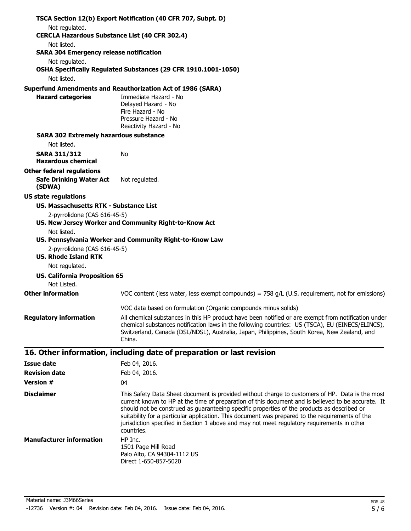|                                                                               | TSCA Section 12(b) Export Notification (40 CFR 707, Subpt. D)                                                                                                                                                                                                                                                                                                                                                                                                                                                        |
|-------------------------------------------------------------------------------|----------------------------------------------------------------------------------------------------------------------------------------------------------------------------------------------------------------------------------------------------------------------------------------------------------------------------------------------------------------------------------------------------------------------------------------------------------------------------------------------------------------------|
| Not regulated.                                                                |                                                                                                                                                                                                                                                                                                                                                                                                                                                                                                                      |
| <b>CERCLA Hazardous Substance List (40 CFR 302.4)</b>                         |                                                                                                                                                                                                                                                                                                                                                                                                                                                                                                                      |
| Not listed.                                                                   |                                                                                                                                                                                                                                                                                                                                                                                                                                                                                                                      |
| <b>SARA 304 Emergency release notification</b>                                |                                                                                                                                                                                                                                                                                                                                                                                                                                                                                                                      |
| Not regulated.<br>Not listed.                                                 | OSHA Specifically Regulated Substances (29 CFR 1910.1001-1050)                                                                                                                                                                                                                                                                                                                                                                                                                                                       |
|                                                                               | <b>Superfund Amendments and Reauthorization Act of 1986 (SARA)</b>                                                                                                                                                                                                                                                                                                                                                                                                                                                   |
| <b>Hazard categories</b>                                                      | Immediate Hazard - No<br>Delayed Hazard - No<br>Fire Hazard - No<br>Pressure Hazard - No<br>Reactivity Hazard - No                                                                                                                                                                                                                                                                                                                                                                                                   |
| <b>SARA 302 Extremely hazardous substance</b>                                 |                                                                                                                                                                                                                                                                                                                                                                                                                                                                                                                      |
| Not listed.                                                                   |                                                                                                                                                                                                                                                                                                                                                                                                                                                                                                                      |
| <b>SARA 311/312</b><br><b>Hazardous chemical</b>                              | No                                                                                                                                                                                                                                                                                                                                                                                                                                                                                                                   |
| <b>Other federal regulations</b><br><b>Safe Drinking Water Act</b><br>(SDWA)  | Not regulated.                                                                                                                                                                                                                                                                                                                                                                                                                                                                                                       |
| <b>US state regulations</b>                                                   |                                                                                                                                                                                                                                                                                                                                                                                                                                                                                                                      |
| <b>US. Massachusetts RTK - Substance List</b><br>2-pyrrolidone (CAS 616-45-5) | US. New Jersey Worker and Community Right-to-Know Act                                                                                                                                                                                                                                                                                                                                                                                                                                                                |
| Not listed.<br>2-pyrrolidone (CAS 616-45-5)<br><b>US. Rhode Island RTK</b>    | US. Pennsylvania Worker and Community Right-to-Know Law                                                                                                                                                                                                                                                                                                                                                                                                                                                              |
| Not regulated.                                                                |                                                                                                                                                                                                                                                                                                                                                                                                                                                                                                                      |
| <b>US. California Proposition 65</b>                                          |                                                                                                                                                                                                                                                                                                                                                                                                                                                                                                                      |
| Not Listed.<br><b>Other information</b>                                       | VOC content (less water, less exempt compounds) = $758$ g/L (U.S. requirement, not for emissions)                                                                                                                                                                                                                                                                                                                                                                                                                    |
|                                                                               |                                                                                                                                                                                                                                                                                                                                                                                                                                                                                                                      |
|                                                                               | VOC data based on formulation (Organic compounds minus solids)                                                                                                                                                                                                                                                                                                                                                                                                                                                       |
| <b>Regulatory information</b>                                                 | All chemical substances in this HP product have been notified or are exempt from notification under<br>chemical substances notification laws in the following countries: US (TSCA), EU (EINECS/ELINCS),<br>Switzerland, Canada (DSL/NDSL), Australia, Japan, Philippines, South Korea, New Zealand, and<br>China.                                                                                                                                                                                                    |
|                                                                               | 16. Other information, including date of preparation or last revision                                                                                                                                                                                                                                                                                                                                                                                                                                                |
| <b>Issue date</b>                                                             | Feb 04, 2016.                                                                                                                                                                                                                                                                                                                                                                                                                                                                                                        |
| <b>Revision date</b>                                                          | Feb 04, 2016.                                                                                                                                                                                                                                                                                                                                                                                                                                                                                                        |
| <b>Version #</b>                                                              | 04                                                                                                                                                                                                                                                                                                                                                                                                                                                                                                                   |
| <b>Disclaimer</b>                                                             | This Safety Data Sheet document is provided without charge to customers of HP. Data is the most<br>current known to HP at the time of preparation of this document and is believed to be accurate. It<br>should not be construed as guaranteeing specific properties of the products as described or<br>suitability for a particular application. This document was prepared to the requirements of the<br>jurisdiction specified in Section 1 above and may not meet regulatory requirements in other<br>countries. |
| <b>Manufacturer information</b>                                               | HP Inc.<br>1501 Page Mill Road                                                                                                                                                                                                                                                                                                                                                                                                                                                                                       |

Material name: J3M66Series -12736 Version #: 04 Revision date: Feb 04, 2016. Issue date: Feb 04, 2016.

Palo Alto, CA 94304-1112 US Direct 1-650-857-5020